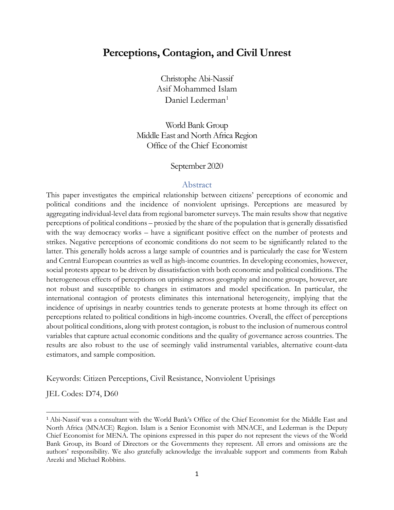## **Perceptions, Contagion, and Civil Unrest**

Christophe Abi-Nassif Asif Mohammed Islam Daniel Lederman<sup>[1](#page-0-0)</sup>

World Bank Group Middle East and North Africa Region Office of the Chief Economist

#### September 2020

#### Abstract

This paper investigates the empirical relationship between citizens' perceptions of economic and political conditions and the incidence of nonviolent uprisings. Perceptions are measured by aggregating individual-level data from regional barometer surveys. The main results show that negative perceptions of political conditions – proxied by the share of the population that is generally dissatisfied with the way democracy works – have a significant positive effect on the number of protests and strikes. Negative perceptions of economic conditions do not seem to be significantly related to the latter. This generally holds across a large sample of countries and is particularly the case for Western and Central European countries as well as high-income countries. In developing economies, however, social protests appear to be driven by dissatisfaction with both economic and political conditions. The heterogeneous effects of perceptions on uprisings across geography and income groups, however, are not robust and susceptible to changes in estimators and model specification. In particular, the international contagion of protests eliminates this international heterogeneity, implying that the incidence of uprisings in nearby countries tends to generate protests at home through its effect on perceptions related to political conditions in high-income countries. Overall, the effect of perceptions about political conditions, along with protest contagion, is robust to the inclusion of numerous control variables that capture actual economic conditions and the quality of governance across countries. The results are also robust to the use of seemingly valid instrumental variables, alternative count-data estimators, and sample composition.

Keywords: Citizen Perceptions, Civil Resistance, Nonviolent Uprisings

JEL Codes: D74, D60

<span id="page-0-0"></span><sup>1</sup> Abi-Nassif was a consultant with the World Bank's Office of the Chief Economist for the Middle East and North Africa (MNACE) Region. Islam is a Senior Economist with MNACE, and Lederman is the Deputy Chief Economist for MENA. The opinions expressed in this paper do not represent the views of the World Bank Group, its Board of Directors or the Governments they represent. All errors and omissions are the authors' responsibility. We also gratefully acknowledge the invaluable support and comments from Rabah Arezki and Michael Robbins.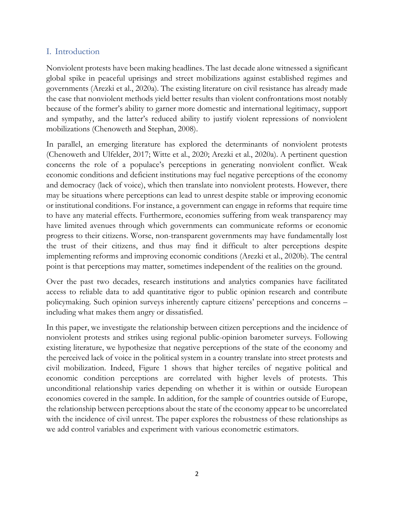### I. Introduction

Nonviolent protests have been making headlines. The last decade alone witnessed a significant global spike in peaceful uprisings and street mobilizations against established regimes and governments (Arezki et al., 2020a). The existing literature on civil resistance has already made the case that nonviolent methods yield better results than violent confrontations most notably because of the former's ability to garner more domestic and international legitimacy, support and sympathy, and the latter's reduced ability to justify violent repressions of nonviolent mobilizations (Chenoweth and Stephan, 2008).

In parallel, an emerging literature has explored the determinants of nonviolent protests (Chenoweth and Ulfelder, 2017; Witte et al., 2020; Arezki et al., 2020a). A pertinent question concerns the role of a populace's perceptions in generating nonviolent conflict. Weak economic conditions and deficient institutions may fuel negative perceptions of the economy and democracy (lack of voice), which then translate into nonviolent protests. However, there may be situations where perceptions can lead to unrest despite stable or improving economic or institutional conditions. For instance, a government can engage in reforms that require time to have any material effects. Furthermore, economies suffering from weak transparency may have limited avenues through which governments can communicate reforms or economic progress to their citizens. Worse, non-transparent governments may have fundamentally lost the trust of their citizens, and thus may find it difficult to alter perceptions despite implementing reforms and improving economic conditions (Arezki et al., 2020b). The central point is that perceptions may matter, sometimes independent of the realities on the ground.

Over the past two decades, research institutions and analytics companies have facilitated access to reliable data to add quantitative rigor to public opinion research and contribute policymaking. Such opinion surveys inherently capture citizens' perceptions and concerns – including what makes them angry or dissatisfied.

In this paper, we investigate the relationship between citizen perceptions and the incidence of nonviolent protests and strikes using regional public-opinion barometer surveys. Following existing literature, we hypothesize that negative perceptions of the state of the economy and the perceived lack of voice in the political system in a country translate into street protests and civil mobilization. Indeed, Figure 1 shows that higher terciles of negative political and economic condition perceptions are correlated with higher levels of protests. This unconditional relationship varies depending on whether it is within or outside European economies covered in the sample. In addition, for the sample of countries outside of Europe, the relationship between perceptions about the state of the economy appear to be uncorrelated with the incidence of civil unrest. The paper explores the robustness of these relationships as we add control variables and experiment with various econometric estimators.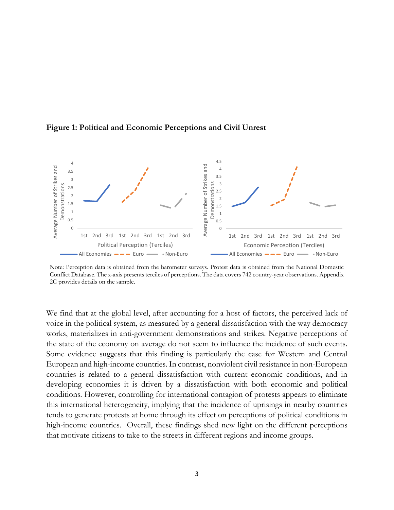

**Figure 1: Political and Economic Perceptions and Civil Unrest**



We find that at the global level, after accounting for a host of factors, the perceived lack of voice in the political system, as measured by a general dissatisfaction with the way democracy works, materializes in anti-government demonstrations and strikes. Negative perceptions of the state of the economy on average do not seem to influence the incidence of such events. Some evidence suggests that this finding is particularly the case for Western and Central European and high-income countries. In contrast, nonviolent civil resistance in non-European countries is related to a general dissatisfaction with current economic conditions, and in developing economies it is driven by a dissatisfaction with both economic and political conditions. However, controlling for international contagion of protests appears to eliminate this international heterogeneity, implying that the incidence of uprisings in nearby countries tends to generate protests at home through its effect on perceptions of political conditions in high-income countries. Overall, these findings shed new light on the different perceptions that motivate citizens to take to the streets in different regions and income groups.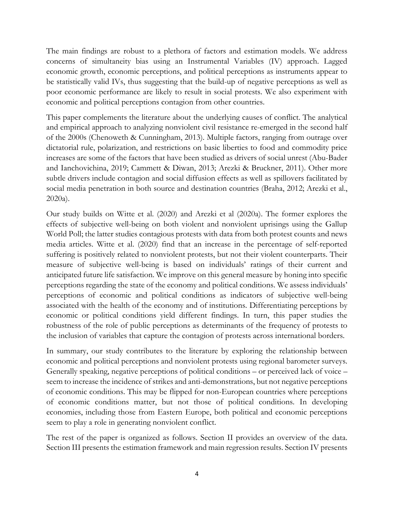The main findings are robust to a plethora of factors and estimation models. We address concerns of simultaneity bias using an Instrumental Variables (IV) approach. Lagged economic growth, economic perceptions, and political perceptions as instruments appear to be statistically valid IVs, thus suggesting that the build-up of negative perceptions as well as poor economic performance are likely to result in social protests. We also experiment with economic and political perceptions contagion from other countries.

This paper complements the literature about the underlying causes of conflict. The analytical and empirical approach to analyzing nonviolent civil resistance re-emerged in the second half of the 2000s (Chenoweth & Cunningham, 2013). Multiple factors, ranging from outrage over dictatorial rule, polarization, and restrictions on basic liberties to food and commodity price increases are some of the factors that have been studied as drivers of social unrest (Abu-Bader and Ianchovichina, 2019; Cammett & Diwan, 2013; Arezki & Bruckner, 2011). Other more subtle drivers include contagion and social diffusion effects as well as spillovers facilitated by social media penetration in both source and destination countries (Braha, 2012; Arezki et al., 2020a).

Our study builds on Witte et al. (2020) and Arezki et al (2020a). The former explores the effects of subjective well-being on both violent and nonviolent uprisings using the Gallup World Poll; the latter studies contagious protests with data from both protest counts and news media articles. Witte et al. (2020) find that an increase in the percentage of self-reported suffering is positively related to nonviolent protests, but not their violent counterparts. Their measure of subjective well-being is based on individuals' ratings of their current and anticipated future life satisfaction. We improve on this general measure by honing into specific perceptions regarding the state of the economy and political conditions. We assess individuals' perceptions of economic and political conditions as indicators of subjective well-being associated with the health of the economy and of institutions. Differentiating perceptions by economic or political conditions yield different findings. In turn, this paper studies the robustness of the role of public perceptions as determinants of the frequency of protests to the inclusion of variables that capture the contagion of protests across international borders.

In summary, our study contributes to the literature by exploring the relationship between economic and political perceptions and nonviolent protests using regional barometer surveys. Generally speaking, negative perceptions of political conditions – or perceived lack of voice – seem to increase the incidence of strikes and anti-demonstrations, but not negative perceptions of economic conditions. This may be flipped for non-European countries where perceptions of economic conditions matter, but not those of political conditions. In developing economies, including those from Eastern Europe, both political and economic perceptions seem to play a role in generating nonviolent conflict.

The rest of the paper is organized as follows. Section II provides an overview of the data. Section III presents the estimation framework and main regression results. Section IV presents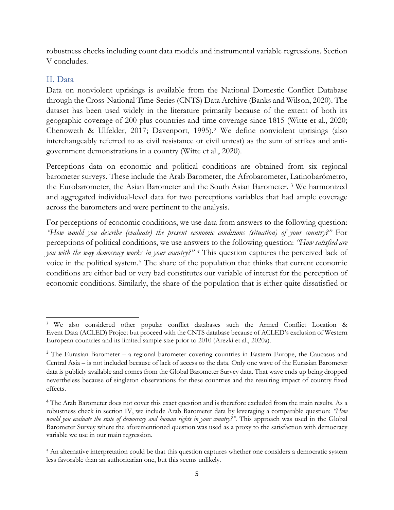robustness checks including count data models and instrumental variable regressions. Section V concludes.

### II. Data

Data on nonviolent uprisings is available from the National Domestic Conflict Database through the Cross-National Time-Series (CNTS) Data Archive (Banks and Wilson, 2020). The dataset has been used widely in the literature primarily because of the extent of both its geographic coverage of 200 plus countries and time coverage since 1815 (Witte et al., 2020; Chenoweth & Ulfelder, 2017; Davenport, 1995).[2](#page-4-0) We define nonviolent uprisings (also interchangeably referred to as civil resistance or civil unrest) as the sum of strikes and antigovernment demonstrations in a country (Witte et al., 2020).

Perceptions data on economic and political conditions are obtained from six regional barometer surveys. These include the Arab Barometer, the Afrobarometer, Latinobarómetro, the Eurobarometer, the Asian Barometer and the South Asian Barometer. [3](#page-4-1) We harmonized and aggregated individual-level data for two perceptions variables that had ample coverage across the barometers and were pertinent to the analysis.

For perceptions of economic conditions, we use data from answers to the following question: *"How would you describe (evaluate) the present economic conditions (situation) of your country?"* For perceptions of political conditions, we use answers to the following question: *"How satisfied are you with the way democracy works in your country?" [4](#page-4-2)* This question captures the perceived lack of voice in the political system.[5](#page-4-3) The share of the population that thinks that current economic conditions are either bad or very bad constitutes our variable of interest for the perception of economic conditions. Similarly, the share of the population that is either quite dissatisfied or

<span id="page-4-0"></span><sup>2</sup> We also considered other popular conflict databases such the Armed Conflict Location & Event Data (ACLED) Project but proceed with the CNTS database because of ACLED's exclusion of Western European countries and its limited sample size prior to 2010 (Arezki et al., 2020a).

<span id="page-4-1"></span><sup>&</sup>lt;sup>3</sup> The Eurasian Barometer – a regional barometer covering countries in Eastern Europe, the Caucasus and Central Asia – is not included because of lack of access to the data. Only one wave of the Eurasian Barometer data is publicly available and comes from the Global Barometer Survey data. That wave ends up being dropped nevertheless because of singleton observations for these countries and the resulting impact of country fixed effects.

<span id="page-4-2"></span><sup>&</sup>lt;sup>4</sup> The Arab Barometer does not cover this exact question and is therefore excluded from the main results. As a robustness check in section IV, we include Arab Barometer data by leveraging a comparable question: *"How would you evaluate the state of democracy and human rights in your country?"*. This approach was used in the Global Barometer Survey where the aforementioned question was used as a proxy to the satisfaction with democracy variable we use in our main regression.

<span id="page-4-3"></span><sup>5</sup> An alternative interpretation could be that this question captures whether one considers a democratic system less favorable than an authoritarian one, but this seems unlikely.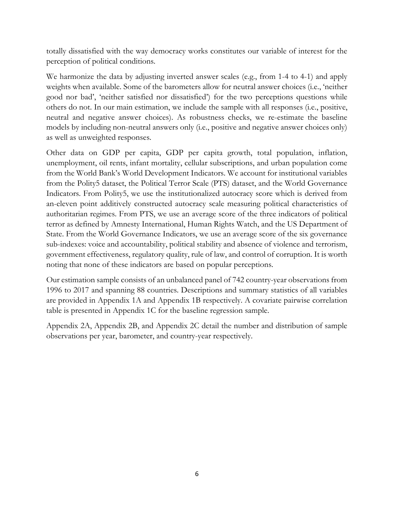totally dissatisfied with the way democracy works constitutes our variable of interest for the perception of political conditions.

We harmonize the data by adjusting inverted answer scales (e.g., from 1-4 to 4-1) and apply weights when available. Some of the barometers allow for neutral answer choices (i.e., 'neither good nor bad', 'neither satisfied nor dissatisfied') for the two perceptions questions while others do not. In our main estimation, we include the sample with all responses (i.e., positive, neutral and negative answer choices). As robustness checks, we re-estimate the baseline models by including non-neutral answers only (i.e., positive and negative answer choices only) as well as unweighted responses.

Other data on GDP per capita, GDP per capita growth, total population, inflation, unemployment, oil rents, infant mortality, cellular subscriptions, and urban population come from the World Bank's World Development Indicators. We account for institutional variables from the Polity5 dataset, the Political Terror Scale (PTS) dataset, and the World Governance Indicators. From Polity5, we use the institutionalized autocracy score which is derived from an-eleven point additively constructed autocracy scale measuring political characteristics of authoritarian regimes. From PTS, we use an average score of the three indicators of political terror as defined by Amnesty International, Human Rights Watch, and the US Department of State. From the World Governance Indicators, we use an average score of the six governance sub-indexes: voice and accountability, political stability and absence of violence and terrorism, government effectiveness, regulatory quality, rule of law, and control of corruption. It is worth noting that none of these indicators are based on popular perceptions.

Our estimation sample consists of an unbalanced panel of 742 country-year observations from 1996 to 2017 and spanning 88 countries. Descriptions and summary statistics of all variables are provided in Appendix 1A and Appendix 1B respectively. A covariate pairwise correlation table is presented in Appendix 1C for the baseline regression sample.

Appendix 2A, Appendix 2B, and Appendix 2C detail the number and distribution of sample observations per year, barometer, and country-year respectively.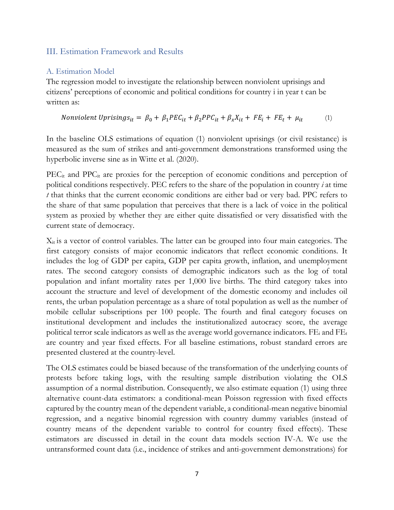### III. Estimation Framework and Results

### A. Estimation Model

The regression model to investigate the relationship between nonviolent uprisings and citizens' perceptions of economic and political conditions for country i in year t can be written as:

$$
Nonviolent Uprisings_{it} = \beta_0 + \beta_1 PEC_{it} + \beta_2 PPC_{it} + \beta_x X_{it} + FE_i + FE_t + \mu_{it}
$$
 (1)

In the baseline OLS estimations of equation (1) nonviolent uprisings (or civil resistance) is measured as the sum of strikes and anti-government demonstrations transformed using the hyperbolic inverse sine as in Witte et al. (2020).

PEC<sub>it</sub> and PPC<sub>it</sub> are proxies for the perception of economic conditions and perception of political conditions respectively. PEC refers to the share of the population in country *i* at time *t* that thinks that the current economic conditions are either bad or very bad. PPC refers to the share of that same population that perceives that there is a lack of voice in the political system as proxied by whether they are either quite dissatisfied or very dissatisfied with the current state of democracy.

 $X_{it}$  is a vector of control variables. The latter can be grouped into four main categories. The first category consists of major economic indicators that reflect economic conditions. It includes the log of GDP per capita, GDP per capita growth, inflation, and unemployment rates. The second category consists of demographic indicators such as the log of total population and infant mortality rates per 1,000 live births. The third category takes into account the structure and level of development of the domestic economy and includes oil rents, the urban population percentage as a share of total population as well as the number of mobile cellular subscriptions per 100 people. The fourth and final category focuses on institutional development and includes the institutionalized autocracy score, the average political terror scale indicators as well as the average world governance indicators.  $FE_i$  and  $FE_t$ are country and year fixed effects. For all baseline estimations, robust standard errors are presented clustered at the country-level.

The OLS estimates could be biased because of the transformation of the underlying counts of protests before taking logs, with the resulting sample distribution violating the OLS assumption of a normal distribution. Consequently, we also estimate equation (1) using three alternative count-data estimators: a conditional-mean Poisson regression with fixed effects captured by the country mean of the dependent variable, a conditional-mean negative binomial regression, and a negative binomial regression with country dummy variables (instead of country means of the dependent variable to control for country fixed effects). These estimators are discussed in detail in the count data models section IV-A. We use the untransformed count data (i.e., incidence of strikes and anti-government demonstrations) for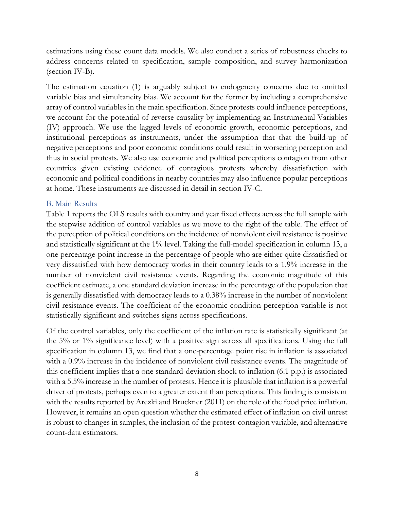estimations using these count data models. We also conduct a series of robustness checks to address concerns related to specification, sample composition, and survey harmonization (section IV-B).

The estimation equation (1) is arguably subject to endogeneity concerns due to omitted variable bias and simultaneity bias. We account for the former by including a comprehensive array of control variables in the main specification. Since protests could influence perceptions, we account for the potential of reverse causality by implementing an Instrumental Variables (IV) approach. We use the lagged levels of economic growth, economic perceptions, and institutional perceptions as instruments, under the assumption that that the build-up of negative perceptions and poor economic conditions could result in worsening perception and thus in social protests. We also use economic and political perceptions contagion from other countries given existing evidence of contagious protests whereby dissatisfaction with economic and political conditions in nearby countries may also influence popular perceptions at home. These instruments are discussed in detail in section IV-C.

#### B. Main Results

Table 1 reports the OLS results with country and year fixed effects across the full sample with the stepwise addition of control variables as we move to the right of the table. The effect of the perception of political conditions on the incidence of nonviolent civil resistance is positive and statistically significant at the 1% level. Taking the full-model specification in column 13, a one percentage-point increase in the percentage of people who are either quite dissatisfied or very dissatisfied with how democracy works in their country leads to a 1.9% increase in the number of nonviolent civil resistance events. Regarding the economic magnitude of this coefficient estimate, a one standard deviation increase in the percentage of the population that is generally dissatisfied with democracy leads to a 0.38% increase in the number of nonviolent civil resistance events. The coefficient of the economic condition perception variable is not statistically significant and switches signs across specifications.

Of the control variables, only the coefficient of the inflation rate is statistically significant (at the 5% or 1% significance level) with a positive sign across all specifications. Using the full specification in column 13, we find that a one-percentage point rise in inflation is associated with a 0.9% increase in the incidence of nonviolent civil resistance events. The magnitude of this coefficient implies that a one standard-deviation shock to inflation (6.1 p.p.) is associated with a 5.5% increase in the number of protests. Hence it is plausible that inflation is a powerful driver of protests, perhaps even to a greater extent than perceptions. This finding is consistent with the results reported by Arezki and Bruckner (2011) on the role of the food price inflation. However, it remains an open question whether the estimated effect of inflation on civil unrest is robust to changes in samples, the inclusion of the protest-contagion variable, and alternative count-data estimators.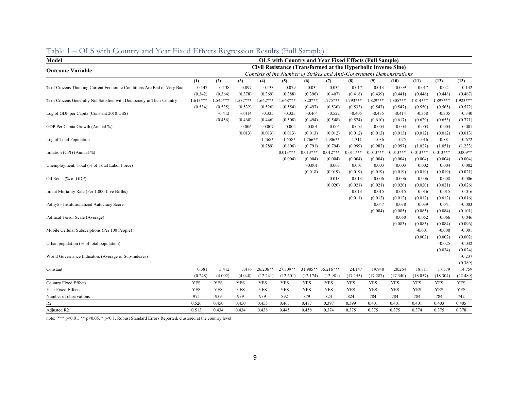| Model                                                                  | <b>OLS with Country and Year Fixed Effects (Full Sample)</b>  |            |            |            |            |            |                                                                      |            |            |            |            |            |            |
|------------------------------------------------------------------------|---------------------------------------------------------------|------------|------------|------------|------------|------------|----------------------------------------------------------------------|------------|------------|------------|------------|------------|------------|
| <b>Outcome Variable</b>                                                | Civil Resistance (Transformed at the Hyperbolic Inverse Sine) |            |            |            |            |            |                                                                      |            |            |            |            |            |            |
|                                                                        |                                                               |            |            |            |            |            | Consists of the Number of Strikes and Anti-Government Demonstrations |            |            |            |            |            |            |
|                                                                        | (1)                                                           | (2)        | (3)        | (4)        | (5)        | (6)        | (7)                                                                  | (8)        | (9)        | (10)       | (11)       | (12)       | (13)       |
| % of Citizens Thinking Current Economic Conditions Are Bad or Very Bad | 0.147                                                         | 0.138      | 0.097      | 0.133      | 0.079      | $-0.034$   | $-0.034$                                                             | 0.017      | $-0.013$   | $-0.009$   | $-0.017$   | $-0.021$   | $-0.142$   |
|                                                                        | (0.342)                                                       | (0.364)    | (0.378)    | (0.369)    | (0.388)    | (0.396)    | (0.407)                                                              | (0.418)    | (0.439)    | (0.441)    | (0.446)    | (0.448)    | (0.467)    |
| % of Citizens Generally Not Satisfied with Democracy in Their Country  | $1.613***$                                                    | $.545***$  | $.537***$  | $.642***$  | $1.668***$ | 1.820***   | $1.775***$                                                           | $1.793***$ | $.829***$  | 1.805***   | $1.814***$ | .897***    | $.923***$  |
|                                                                        | (0.534)                                                       | (0.535)    | (0.532)    | (0.526)    | (0.554)    | (0.497)    | (0.530)                                                              | (0.533)    | (0.547)    | (0.547)    | (0.550)    | (0.565)    | (0.572)    |
| Log of GDP per Capita (Constant 2010 US\$)                             |                                                               | $-0.412$   | $-0.414$   | $-0.335$   | $-0.325$   | $-0.464$   | $-0.522$                                                             | $-0.405$   | $-0.435$   | $-0.414$   | $-0.358$   | $-0.305$   | $-0.340$   |
|                                                                        |                                                               | (0.456)    | (0.460)    | (0.446)    | (0.508)    | (0.494)    | (0.548)                                                              | (0.574)    | (0.610)    | (0.617)    | (0.629)    | (0.653)    | (0.771)    |
| GDP Per Capita Growth (Annual %)                                       |                                                               |            | $-0.006$   | $-0.007$   | 0.002      | $-0.001$   | 0.005                                                                | 0.004      | 0.004      | 0.004      | 0.003      | 0.004      | 0.001      |
|                                                                        |                                                               |            | (0.013)    | (0.013)    | (0.013)    | (0.013)    | (0.012)                                                              | (0.012)    | (0.013)    | (0.013)    | (0.012)    | (0.012)    | (0.013)    |
| Log of Total Population                                                |                                                               |            |            | $-1.468*$  | $-1.558*$  | $-1.766**$ | $-1.906**$                                                           | $-1.311$   | $-1.036$   | $-1.075$   | $-1.016$   | $-0.881$   | $-0.672$   |
|                                                                        |                                                               |            |            | (0.789)    | (0.806)    | (0.791)    | (0.794)                                                              | (0.999)    | (0.982)    | (0.997)    | (1.027)    | (1.051)    | (1.233)    |
| Inflation (CPI) (Annual %)                                             |                                                               |            |            |            | $0.013***$ | $0.013***$ | $0.012***$                                                           | $0.011***$ | $0.013***$ | $0.013***$ | $0.013***$ | $0.013***$ | $0.009**$  |
|                                                                        |                                                               |            |            |            | (0.004)    | (0.004)    | (0.004)                                                              | (0.004)    | (0.004)    | (0.004)    | (0.004)    | (0.004)    | (0.004)    |
| Unemployment, Total (% of Total Labor Force)                           |                                                               |            |            |            |            | $-0.001$   | 0.003                                                                | 0.001      | 0.003      | 0.003      | 0.002      | 0.004      | 0.002      |
|                                                                        |                                                               |            |            |            |            | (0.018)    | (0.019)                                                              | (0.019)    | (0.019)    | (0.019)    | (0.019)    | (0.019)    | (0.021)    |
| Oil Rents (% of GDP)                                                   |                                                               |            |            |            |            |            | $-0.013$                                                             | $-0.013$   | $-0.006$   | $-0.006$   | $-0.006$   | $-0.008$   | $-0.006$   |
|                                                                        |                                                               |            |            |            |            |            | (0.020)                                                              | (0.021)    | (0.021)    | (0.020)    | (0.020)    | (0.021)    | (0.026)    |
| Infant Mortality Rate (Per 1,000 Live Births)                          |                                                               |            |            |            |            |            |                                                                      | 0.013      | 0.015      | 0.015      | 0.016      | 0.015      | 0.016      |
|                                                                        |                                                               |            |            |            |            |            |                                                                      | (0.011)    | (0.012)    | (0.012)    | (0.012)    | (0.012)    | (0.016)    |
| Polity5 - Institutionalized Autocracy Score                            |                                                               |            |            |            |            |            |                                                                      |            | 0.047      | 0.038      | 0.039      | 0.041      | $-0.003$   |
|                                                                        |                                                               |            |            |            |            |            |                                                                      |            | (0.084)    | (0.085)    | (0.085)    | (0.084)    | (0.101)    |
| Political Terror Scale (Average)                                       |                                                               |            |            |            |            |            |                                                                      |            |            | 0.050      | 0.052      | 0.066      | 0.046      |
|                                                                        |                                                               |            |            |            |            |            |                                                                      |            |            | (0.083)    | (0.083)    | (0.084)    | (0.096)    |
| Mobile Cellular Subscriptions (Per 100 People)                         |                                                               |            |            |            |            |            |                                                                      |            |            |            | $-0.001$   | $-0.000$   | $-0.001$   |
|                                                                        |                                                               |            |            |            |            |            |                                                                      |            |            |            | (0.002)    | (0.002)    | (0.002)    |
| Urban population (% of total population)                               |                                                               |            |            |            |            |            |                                                                      |            |            |            |            | $-0.025$   | $-0.032$   |
|                                                                        |                                                               |            |            |            |            |            |                                                                      |            |            |            |            | (0.024)    | (0.024)    |
| World Governance Indicators (Average of Sub-Indexes)                   |                                                               |            |            |            |            |            |                                                                      |            |            |            |            |            | $-0.237$   |
|                                                                        |                                                               |            |            |            |            |            |                                                                      |            |            |            |            |            | (0.389)    |
| Constant                                                               | 0.381                                                         | 3.412      | 3.476      | 26.206**   | 27.309**   | 31.985**   | 35.216***                                                            | 24.147     | 19.948     | 20.264     | 18.811     | 17.579     | 14.759     |
|                                                                        | (0.248)                                                       | (4.002)    | (4.048)    | (12.241)   | (12.601)   | (12.174)   | (12.981)                                                             | (17.155)   | (17.287)   | (17.340)   | (18.057)   | (18.304)   | (22.489)   |
| <b>Country Fixed Effects</b>                                           | <b>YES</b>                                                    | <b>YES</b> | <b>YES</b> | <b>YES</b> | <b>YES</b> | <b>YES</b> | <b>YES</b>                                                           | <b>YES</b> | <b>YES</b> | <b>YES</b> | <b>YES</b> | <b>YES</b> | <b>YES</b> |
| Year Fixed Effects                                                     | <b>YES</b>                                                    | <b>YES</b> | <b>YES</b> | <b>YES</b> | <b>YES</b> | <b>YES</b> | <b>YES</b>                                                           | <b>YES</b> | <b>YES</b> | <b>YES</b> | <b>YES</b> | <b>YES</b> | <b>YES</b> |
| Number of observations                                                 | 975                                                           | 939        | 939        | 939        | 892        | 879        | 824                                                                  | 824        | 784        | 784        | 784        | 784        | 742        |
| R2                                                                     | 0.526                                                         | 0.450      | 0.450      | 0.455      | 0.463      | 0.477      | 0.397                                                                | 0.399      | 0.401      | 0.401      | 0.401      | 0.403      | 0.405      |
| Adjusted R2                                                            | 0.513                                                         | 0.434      | 0.434      | 0.438      | 0.445      | 0.458      | 0.374                                                                | 0.375      | 0.375      | 0.375      | 0.374      | 0.375      | 0.378      |

## Table 1 – OLS with Country and Year Fixed Effects Regression Results (Full Sample)

note: \*\*\* p<0.01, \*\* p<0.05, \* p<0.1. Robust Standard Errors Reported, clustered at the country level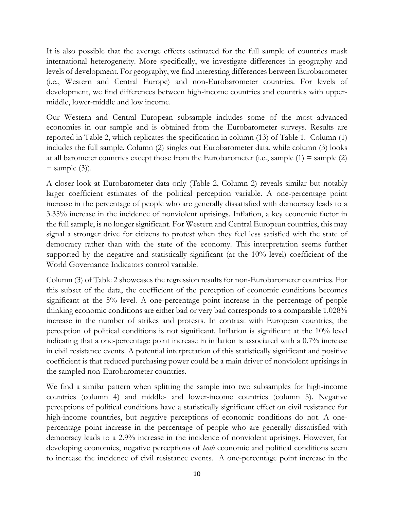It is also possible that the average effects estimated for the full sample of countries mask international heterogeneity. More specifically, we investigate differences in geography and levels of development. For geography, we find interesting differences between Eurobarometer (i.e., Western and Central Europe) and non-Eurobarometer countries. For levels of development, we find differences between high-income countries and countries with uppermiddle, lower-middle and low income.

Our Western and Central European subsample includes some of the most advanced economies in our sample and is obtained from the Eurobarometer surveys. Results are reported in Table 2, which replicates the specification in column (13) of Table 1. Column (1) includes the full sample. Column (2) singles out Eurobarometer data, while column (3) looks at all barometer countries except those from the Eurobarometer (i.e., sample  $(1)$  = sample  $(2)$ )  $+$  sample  $(3)$ ).

A closer look at Eurobarometer data only (Table 2, Column 2) reveals similar but notably larger coefficient estimates of the political perception variable. A one-percentage point increase in the percentage of people who are generally dissatisfied with democracy leads to a 3.35% increase in the incidence of nonviolent uprisings. Inflation, a key economic factor in the full sample, is no longer significant. For Western and Central European countries, this may signal a stronger drive for citizens to protest when they feel less satisfied with the state of democracy rather than with the state of the economy. This interpretation seems further supported by the negative and statistically significant (at the 10% level) coefficient of the World Governance Indicators control variable.

Column (3) of Table 2 showcases the regression results for non-Eurobarometer countries. For this subset of the data, the coefficient of the perception of economic conditions becomes significant at the 5% level. A one-percentage point increase in the percentage of people thinking economic conditions are either bad or very bad corresponds to a comparable 1.028% increase in the number of strikes and protests. In contrast with European countries, the perception of political conditions is not significant. Inflation is significant at the 10% level indicating that a one-percentage point increase in inflation is associated with a 0.7% increase in civil resistance events. A potential interpretation of this statistically significant and positive coefficient is that reduced purchasing power could be a main driver of nonviolent uprisings in the sampled non-Eurobarometer countries.

We find a similar pattern when splitting the sample into two subsamples for high-income countries (column 4) and middle- and lower-income countries (column 5). Negative perceptions of political conditions have a statistically significant effect on civil resistance for high-income countries, but negative perceptions of economic conditions do not. A onepercentage point increase in the percentage of people who are generally dissatisfied with democracy leads to a 2.9% increase in the incidence of nonviolent uprisings. However, for developing economies, negative perceptions of *both* economic and political conditions seem to increase the incidence of civil resistance events. A one-percentage point increase in the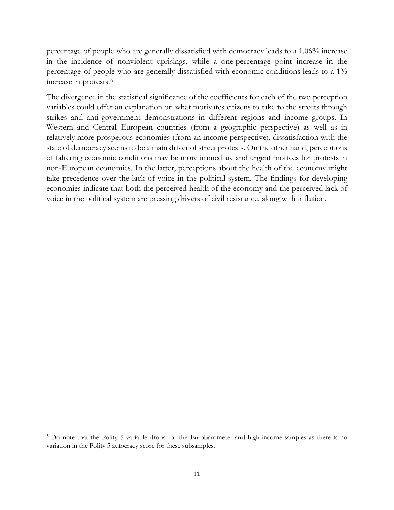percentage of people who are generally dissatisfied with democracy leads to a 1.06% increase in the incidence of nonviolent uprisings, while a one-percentage point increase in the percentage of people who are generally dissatisfied with economic conditions leads to a 1% increase in protests.[6](#page-10-0) 

The divergence in the statistical significance of the coefficients for each of the two perception variables could offer an explanation on what motivates citizens to take to the streets through strikes and anti-government demonstrations in different regions and income groups. In Western and Central European countries (from a geographic perspective) as well as in relatively more prosperous economies (from an income perspective), dissatisfaction with the state of democracy seems to be a main driver of street protests. On the other hand, perceptions of faltering economic conditions may be more immediate and urgent motives for protests in non-European economies. In the latter, perceptions about the health of the economy might take precedence over the lack of voice in the political system. The findings for developing economies indicate that both the perceived health of the economy and the perceived lack of voice in the political system are pressing drivers of civil resistance, along with inflation.

<span id="page-10-0"></span><sup>&</sup>lt;sup>6</sup> Do note that the Polity 5 variable drops for the Eurobarometer and high-income samples as there is no variation in the Polity 5 autocracy score for these subsamples.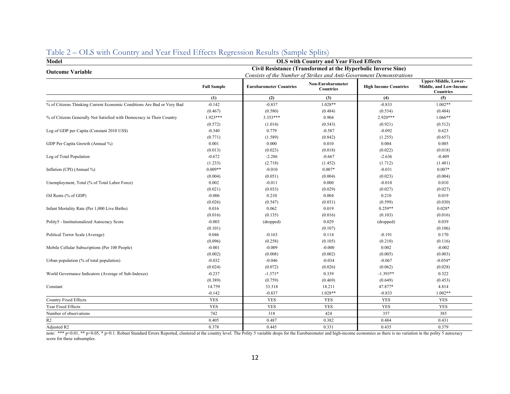| Model<br><b>OLS with Country and Year Fixed Effects</b>                |                                                               |                                                                      |                                       |                              |                                                                           |  |  |  |
|------------------------------------------------------------------------|---------------------------------------------------------------|----------------------------------------------------------------------|---------------------------------------|------------------------------|---------------------------------------------------------------------------|--|--|--|
| <b>Outcome Variable</b>                                                | Civil Resistance (Transformed at the Hyperbolic Inverse Sine) |                                                                      |                                       |                              |                                                                           |  |  |  |
|                                                                        |                                                               | Consists of the Number of Strikes and Anti-Government Demonstrations |                                       |                              |                                                                           |  |  |  |
|                                                                        | <b>Full Sample</b>                                            | <b>Eurobarometer Countries</b>                                       | Non-Eurobarometer<br><b>Countries</b> | <b>High Income Countries</b> | <b>Upper-Middle, Lower-</b><br>Middle, and Low-Income<br><b>Countries</b> |  |  |  |
|                                                                        | (1)                                                           | (2)                                                                  | (3)                                   | (4)                          | (5)                                                                       |  |  |  |
| % of Citizens Thinking Current Economic Conditions Are Bad or Very Bad | $-0.142$                                                      | $-0.837$                                                             | $1.028**$                             | $-0.833$                     | $1.002**$                                                                 |  |  |  |
|                                                                        | (0.467)                                                       | (0.580)                                                              | (0.484)                               | (0.534)                      | (0.484)                                                                   |  |  |  |
| % of Citizens Generally Not Satisfied with Democracy in Their Country  | $1.923***$                                                    | 3.353***                                                             | 0.904                                 | 2.920***                     | $1.066**$                                                                 |  |  |  |
|                                                                        | (0.572)                                                       | (1.014)                                                              | (0.543)                               | (0.921)                      | (0.512)                                                                   |  |  |  |
| Log of GDP per Capita (Constant 2010 US\$)                             | $-0.340$                                                      | 0.779                                                                | $-0.587$                              | $-0.092$                     | 0.623                                                                     |  |  |  |
|                                                                        | (0.771)                                                       | (1.589)                                                              | (0.842)                               | (1.255)                      | (0.657)                                                                   |  |  |  |
| GDP Per Capita Growth (Annual %)                                       | 0.001                                                         | 0.000                                                                | 0.010                                 | 0.004                        | 0.005                                                                     |  |  |  |
|                                                                        | (0.013)                                                       | (0.023)                                                              | (0.018)                               | (0.022)                      | (0.018)                                                                   |  |  |  |
| Log of Total Population                                                | $-0.672$                                                      | $-2.286$                                                             | $-0.667$                              | $-2.636$                     | $-0.409$                                                                  |  |  |  |
|                                                                        | (1.233)                                                       | (2.718)                                                              | (1.452)                               | (1.712)                      | (1.481)                                                                   |  |  |  |
| Inflation (CPI) (Annual %)                                             | $0.009**$                                                     | $-0.010$                                                             | $0.007*$                              | $-0.031$                     | $0.007*$                                                                  |  |  |  |
|                                                                        | (0.004)                                                       | (0.051)                                                              | (0.004)                               | (0.023)                      | (0.004)                                                                   |  |  |  |
| Unemployment, Total (% of Total Labor Force)                           | 0.002                                                         | $-0.011$                                                             | 0.000                                 | $-0.018$                     | 0.010                                                                     |  |  |  |
|                                                                        | (0.021)                                                       | (0.033)                                                              | (0.029)                               | (0.027)                      | (0.027)                                                                   |  |  |  |
| Oil Rents (% of GDP)                                                   | $-0.006$                                                      | 0.210                                                                | 0.004                                 | 0.210                        | 0.019                                                                     |  |  |  |
|                                                                        | (0.026)                                                       | (0.547)                                                              | (0.031)                               | (0.599)                      | (0.030)                                                                   |  |  |  |
| Infant Mortality Rate (Per 1,000 Live Births)                          | 0.016                                                         | 0.062                                                                | 0.019                                 | $0.259**$                    | $0.028*$                                                                  |  |  |  |
|                                                                        | (0.016)                                                       | (0.135)                                                              | (0.016)                               | (0.103)                      | (0.016)                                                                   |  |  |  |
| Polity5 - Institutionalized Autocracy Score                            | $-0.003$                                                      | (dropped)                                                            | 0.029                                 | (dropped)                    | 0.039                                                                     |  |  |  |
|                                                                        | (0.101)                                                       |                                                                      | (0.107)                               |                              | (0.106)                                                                   |  |  |  |
| Political Terror Scale (Average)                                       | 0.046                                                         | $-0.163$                                                             | 0.114                                 | $-0.191$                     | 0.170                                                                     |  |  |  |
|                                                                        | (0.096)                                                       | (0.258)                                                              | (0.105)                               | (0.210)                      | (0.116)                                                                   |  |  |  |
| Mobile Cellular Subscriptions (Per 100 People)                         | $-0.001$                                                      | $-0.009$                                                             | $-0.000$                              | 0.002                        | $-0.002$                                                                  |  |  |  |
|                                                                        | (0.002)                                                       | (0.008)                                                              | (0.002)                               | (0.005)                      | (0.003)                                                                   |  |  |  |
| Urban population (% of total population)                               | $-0.032$                                                      | $-0.046$                                                             | $-0.034$                              | $-0.067$                     | $-0.054*$                                                                 |  |  |  |
|                                                                        | (0.024)                                                       | (0.072)                                                              | (0.026)                               | (0.062)                      | (0.028)                                                                   |  |  |  |
| World Governance Indicators (Average of Sub-Indexes)                   | $-0.237$                                                      | $-1.371*$                                                            | 0.339                                 | $-1.393**$                   | 0.322                                                                     |  |  |  |
|                                                                        | (0.389)                                                       | (0.759)                                                              | (0.469)                               | (0.649)                      | (0.453)                                                                   |  |  |  |
| Constant                                                               | 14.759                                                        | 33.318                                                               | 18.211                                | 47.877*                      | 4.814                                                                     |  |  |  |
|                                                                        | $-0.142$                                                      | $-0.837$                                                             | 1.028**                               | $-0.833$                     | $1.002**$                                                                 |  |  |  |
| <b>Country Fixed Effects</b>                                           | <b>YES</b>                                                    | <b>YES</b>                                                           | <b>YES</b>                            | <b>YES</b>                   | <b>YES</b>                                                                |  |  |  |
| Year Fixed Effects                                                     | <b>YES</b>                                                    | <b>YES</b>                                                           | <b>YES</b>                            | <b>YES</b>                   | <b>YES</b>                                                                |  |  |  |
| Number of observations                                                 | 742                                                           | 318                                                                  | 424                                   | 357                          | 385                                                                       |  |  |  |
| R <sub>2</sub>                                                         | 0.405                                                         | 0.487                                                                | 0.382                                 | 0.484                        | 0.431                                                                     |  |  |  |
| Adjusted R2                                                            | 0.378                                                         | 0.445                                                                | 0.331                                 | 0.435                        | 0.379                                                                     |  |  |  |

### Table 2 – OLS with Country and Year Fixed Effects Regression Results (Sample Splits)

note: \*\*\* p<0.01, \*\* p<0.05, \* p<0.1. Robust Standard Errors Reported, clustered at the country level. The Polity 5 variable drops for the Eurobarometer and high-income economies as there is no variation in the polity 5 au score for these subsamples.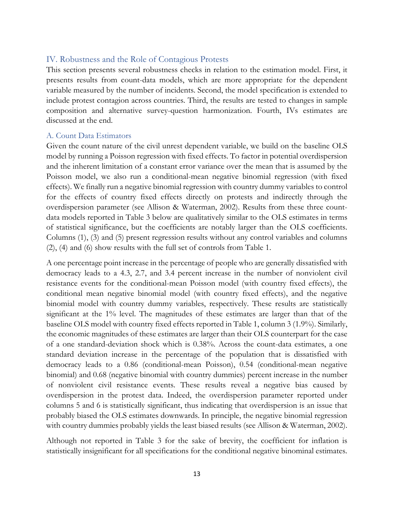#### IV. Robustness and the Role of Contagious Protests

This section presents several robustness checks in relation to the estimation model. First, it presents results from count-data models, which are more appropriate for the dependent variable measured by the number of incidents. Second, the model specification is extended to include protest contagion across countries. Third, the results are tested to changes in sample composition and alternative survey-question harmonization. Fourth, IVs estimates are discussed at the end.

#### A. Count Data Estimators

Given the count nature of the civil unrest dependent variable, we build on the baseline OLS model by running a Poisson regression with fixed effects. To factor in potential overdispersion and the inherent limitation of a constant error variance over the mean that is assumed by the Poisson model, we also run a conditional-mean negative binomial regression (with fixed effects). We finally run a negative binomial regression with country dummy variables to control for the effects of country fixed effects directly on protests and indirectly through the overdispersion parameter (see Allison & Waterman, 2002). Results from these three countdata models reported in Table 3 below are qualitatively similar to the OLS estimates in terms of statistical significance, but the coefficients are notably larger than the OLS coefficients. Columns (1), (3) and (5) present regression results without any control variables and columns (2), (4) and (6) show results with the full set of controls from Table 1.

A one percentage point increase in the percentage of people who are generally dissatisfied with democracy leads to a 4.3, 2.7, and 3.4 percent increase in the number of nonviolent civil resistance events for the conditional-mean Poisson model (with country fixed effects), the conditional mean negative binomial model (with country fixed effects), and the negative binomial model with country dummy variables, respectively. These results are statistically significant at the 1% level. The magnitudes of these estimates are larger than that of the baseline OLS model with country fixed effects reported in Table 1, column 3 (1.9%). Similarly, the economic magnitudes of these estimates are larger than their OLS counterpart for the case of a one standard-deviation shock which is 0.38%. Across the count-data estimates, a one standard deviation increase in the percentage of the population that is dissatisfied with democracy leads to a 0.86 (conditional-mean Poisson), 0.54 (conditional-mean negative binomial) and 0.68 (negative binomial with country dummies) percent increase in the number of nonviolent civil resistance events. These results reveal a negative bias caused by overdispersion in the protest data. Indeed, the overdispersion parameter reported under columns 5 and 6 is statistically significant, thus indicating that overdispersion is an issue that probably biased the OLS estimates downwards. In principle, the negative binomial regression with country dummies probably yields the least biased results (see Allison & Waterman, 2002).

Although not reported in Table 3 for the sake of brevity, the coefficient for inflation is statistically insignificant for all specifications for the conditional negative binominal estimates.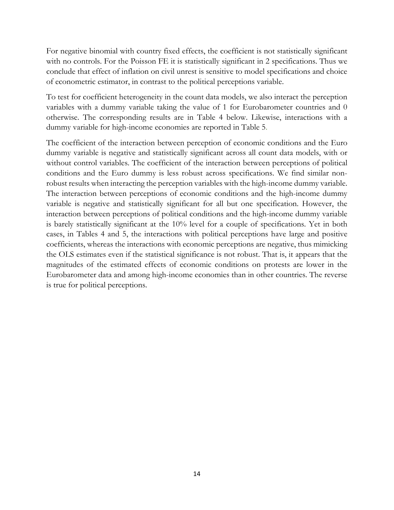For negative binomial with country fixed effects, the coefficient is not statistically significant with no controls. For the Poisson FE it is statistically significant in 2 specifications. Thus we conclude that effect of inflation on civil unrest is sensitive to model specifications and choice of econometric estimator, in contrast to the political perceptions variable.

To test for coefficient heterogeneity in the count data models, we also interact the perception variables with a dummy variable taking the value of 1 for Eurobarometer countries and 0 otherwise. The corresponding results are in Table 4 below. Likewise, interactions with a dummy variable for high-income economies are reported in Table 5.

The coefficient of the interaction between perception of economic conditions and the Euro dummy variable is negative and statistically significant across all count data models, with or without control variables. The coefficient of the interaction between perceptions of political conditions and the Euro dummy is less robust across specifications. We find similar nonrobust results when interacting the perception variables with the high-income dummy variable. The interaction between perceptions of economic conditions and the high-income dummy variable is negative and statistically significant for all but one specification. However, the interaction between perceptions of political conditions and the high-income dummy variable is barely statistically significant at the 10% level for a couple of specifications. Yet in both cases, in Tables 4 and 5, the interactions with political perceptions have large and positive coefficients, whereas the interactions with economic perceptions are negative, thus mimicking the OLS estimates even if the statistical significance is not robust. That is, it appears that the magnitudes of the estimated effects of economic conditions on protests are lower in the Eurobarometer data and among high-income economies than in other countries. The reverse is true for political perceptions.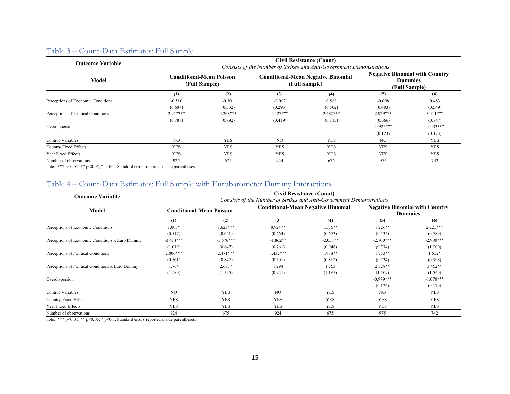## Table 3 – Count-Data Estimates: Full Sample

| <b>Outcome Variable</b>             | <b>Civil Resistance (Count)</b><br>Consists of the Number of Strikes and Anti-Government Demonstrations |                                                  |                |                                                            |                                                                          |             |  |  |  |
|-------------------------------------|---------------------------------------------------------------------------------------------------------|--------------------------------------------------|----------------|------------------------------------------------------------|--------------------------------------------------------------------------|-------------|--|--|--|
| Model                               |                                                                                                         | <b>Conditional-Mean Poisson</b><br>(Full Sample) |                | <b>Conditional-Mean Negative Binomial</b><br>(Full Sample) | <b>Negative Binomial with Country</b><br><b>Dummies</b><br>(Full Sample) |             |  |  |  |
|                                     | (1)                                                                                                     | (2)                                              | (3)            | (4)                                                        | (5)                                                                      | (6)         |  |  |  |
| Perceptions of Economic Conditions  | $-0.510$                                                                                                | $-0.301$                                         | $-0.097$       | 0.588                                                      | $-0.008$                                                                 | 0.483       |  |  |  |
|                                     | (0.604)                                                                                                 | (0.532)                                          | (0.293)        | (0.502)                                                    | (0.403)                                                                  | (0.549)     |  |  |  |
| Perceptions of Political Conditions | $2.957***$                                                                                              | $4.268***$                                       | $2.127***$     | $2.680***$                                                 | $2.929***$                                                               | $3.411***$  |  |  |  |
|                                     | (0.788)                                                                                                 | (0.892)                                          | (0.419)        | (0.713)                                                    | (0.566)                                                                  | (0.747)     |  |  |  |
| Overdispersion                      |                                                                                                         |                                                  |                |                                                            | $-0.925***$                                                              | $-1.003***$ |  |  |  |
|                                     |                                                                                                         |                                                  |                |                                                            | (0.123)                                                                  | (0.173)     |  |  |  |
| <b>Control Variables</b>            | N <sub>O</sub>                                                                                          | <b>YES</b>                                       | N <sub>O</sub> | <b>YES</b>                                                 | N <sub>O</sub>                                                           | <b>YES</b>  |  |  |  |
| Country Fixed Effects               | <b>YES</b>                                                                                              | <b>YES</b>                                       | <b>YES</b>     | <b>YES</b>                                                 | <b>YES</b>                                                               | <b>YES</b>  |  |  |  |
| Year Fixed Effects                  | <b>YES</b>                                                                                              | <b>YES</b>                                       | <b>YES</b>     | <b>YES</b>                                                 | <b>YES</b>                                                               | <b>YES</b>  |  |  |  |
| Number of observations              | 924                                                                                                     | 675                                              | 924            | 675                                                        | 975                                                                      | 742         |  |  |  |

note: \*\*\* p<0.01, \*\* p<0.05, \* p<0.1. Standard errors reported inside parentheses.

### Table 4 – Count-Data Estimates: Full Sample with Eurobarometer Dummy Interactions

| <b>Outcome Variable</b>                          | <b>Civil Resistance (Count)</b><br>Consists of the Number of Strikes and Anti-Government Demonstrations |                                 |                |                                           |                                                         |             |  |  |  |
|--------------------------------------------------|---------------------------------------------------------------------------------------------------------|---------------------------------|----------------|-------------------------------------------|---------------------------------------------------------|-------------|--|--|--|
| Model                                            |                                                                                                         | <b>Conditional-Mean Poisson</b> |                | <b>Conditional-Mean Negative Binomial</b> | <b>Negative Binomial with Country</b><br><b>Dummies</b> |             |  |  |  |
|                                                  | (1)                                                                                                     | (2)                             | (3)            | (4)                                       | (5)                                                     | (6)         |  |  |  |
| Perceptions of Economic Conditions               | 1.003*                                                                                                  | 1.623***                        | $0.924**$      | 1.556**                                   | $1.226**$                                               | $2.225***$  |  |  |  |
|                                                  | (0.517)                                                                                                 | (0.621)                         | (0.464)        | (0.673)                                   | (0.534)                                                 | (0.789)     |  |  |  |
| Perceptions of Economic Conditions x Euro Dummy  | $-3.414***$                                                                                             | $-3.576***$                     | $-1.862**$     | $-2.051**$                                | $-2.700***$                                             | $-2.980***$ |  |  |  |
|                                                  | (1.019)                                                                                                 | (0.847)                         | (0.761)        | (0.946)                                   | (0.774)                                                 | (1.000)     |  |  |  |
| Perceptions of Political Conditions              | $2.006***$                                                                                              | $2.471***$                      | $1.432***$     | 1.988**                                   | $1.753**$                                               | $1.652*$    |  |  |  |
|                                                  | (0.561)                                                                                                 | (0.847)                         | (0.501)        | (0.812)                                   | (0.734)                                                 | (0.998)     |  |  |  |
| Perceptions of Political Conditions x Euro Dummy | 1.764                                                                                                   | $2.687*$                        | 1.294          | 1.763                                     | $2.528**$                                               | $3.462**$   |  |  |  |
|                                                  | (1.180)                                                                                                 | (1.595)                         | (0.921)        | (1.185)                                   | (1.109)                                                 | (1.569)     |  |  |  |
| Overdispersion                                   |                                                                                                         |                                 |                |                                           | $-0.979***$                                             | $-1.070***$ |  |  |  |
|                                                  |                                                                                                         |                                 |                |                                           | (0.126)                                                 | (0.179)     |  |  |  |
| Control Variables                                | N <sub>O</sub>                                                                                          | <b>YES</b>                      | N <sub>O</sub> | <b>YES</b>                                | N <sub>O</sub>                                          | <b>YES</b>  |  |  |  |
| Country Fixed Effects                            | <b>YES</b>                                                                                              | <b>YES</b>                      | <b>YES</b>     | <b>YES</b>                                | <b>YES</b>                                              | <b>YES</b>  |  |  |  |
| Year Fixed Effects                               | <b>YES</b>                                                                                              | <b>YES</b>                      | <b>YES</b>     | <b>YES</b>                                | <b>YES</b>                                              | <b>YES</b>  |  |  |  |
| Number of observations                           | 924                                                                                                     | 675                             | 924            | 675                                       | 975                                                     | 742         |  |  |  |

note: \*\*\* p<0.01, \*\* p<0.05, \* p<0.1. Standard errors reported inside parentheses.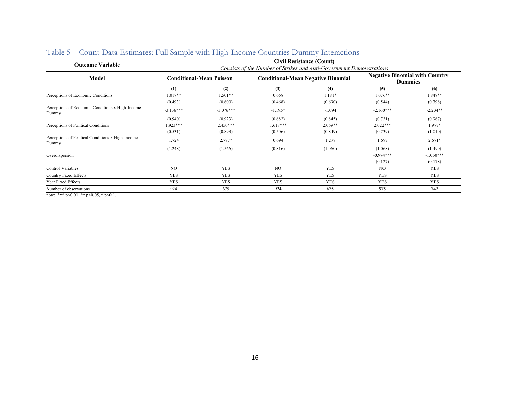| <b>Outcome Variable</b>                                    | <b>Civil Resistance (Count)</b>                                      |                                 |                |                                           |                                                         |             |  |  |  |
|------------------------------------------------------------|----------------------------------------------------------------------|---------------------------------|----------------|-------------------------------------------|---------------------------------------------------------|-------------|--|--|--|
|                                                            | Consists of the Number of Strikes and Anti-Government Demonstrations |                                 |                |                                           |                                                         |             |  |  |  |
| Model                                                      |                                                                      | <b>Conditional-Mean Poisson</b> |                | <b>Conditional-Mean Negative Binomial</b> | <b>Negative Binomial with Country</b><br><b>Dummies</b> |             |  |  |  |
|                                                            | (1)                                                                  | (2)                             | (3)            | (4)                                       | (5)                                                     | (6)         |  |  |  |
| Perceptions of Economic Conditions                         | $1.017**$                                                            | $1.501**$                       | 0.668          | $1.181*$                                  | $1.076**$                                               | $1.848**$   |  |  |  |
|                                                            | (0.493)                                                              | (0.600)                         | (0.468)        | (0.690)                                   | (0.544)                                                 | (0.798)     |  |  |  |
| Perceptions of Economic Conditions x High-Income<br>Dummy  | $-3.136***$                                                          | $-3.076***$                     | $-1.195*$      | $-1.094$                                  | $-2.160***$                                             | $-2.234**$  |  |  |  |
|                                                            | (0.940)                                                              | (0.923)                         | (0.682)        | (0.845)                                   | (0.731)                                                 | (0.967)     |  |  |  |
| Perceptions of Political Conditions                        | 1.923***                                                             | $2.450***$                      | $1.618***$     | $2.069**$                                 | $2.022***$                                              | $1.977*$    |  |  |  |
|                                                            | (0.531)                                                              | (0.893)                         | (0.506)        | (0.849)                                   | (0.739)                                                 | (1.010)     |  |  |  |
| Perceptions of Political Conditions x High-Income<br>Dummy | 1.724                                                                | $2.777*$                        | 0.694          | 1.277                                     | 1.697                                                   | $2.671*$    |  |  |  |
|                                                            | (1.248)                                                              | (1.566)                         | (0.816)        | (1.060)                                   | (1.068)                                                 | (1.490)     |  |  |  |
| Overdispersion                                             |                                                                      |                                 |                |                                           | $-0.974***$                                             | $-1.050***$ |  |  |  |
|                                                            |                                                                      |                                 |                |                                           | (0.127)                                                 | (0.178)     |  |  |  |
| Control Variables                                          | NO <sub>1</sub>                                                      | <b>YES</b>                      | N <sub>O</sub> | <b>YES</b>                                | N <sub>O</sub>                                          | <b>YES</b>  |  |  |  |
| <b>Country Fixed Effects</b>                               | <b>YES</b>                                                           | <b>YES</b>                      | <b>YES</b>     | <b>YES</b>                                | <b>YES</b>                                              | <b>YES</b>  |  |  |  |
| Year Fixed Effects                                         | <b>YES</b>                                                           | <b>YES</b>                      | <b>YES</b>     | <b>YES</b>                                | <b>YES</b>                                              | <b>YES</b>  |  |  |  |
| Number of observations                                     | 924                                                                  | 675                             | 924            | 675                                       | 975                                                     | 742         |  |  |  |

# Table 5 – Count-Data Estimates: Full Sample with High-Income Countries Dummy Interactions

note: \*\*\* p<0.01, \*\* p<0.05, \* p<0.1.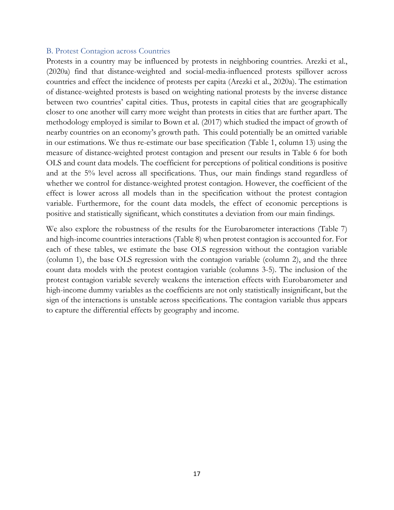#### B. Protest Contagion across Countries

Protests in a country may be influenced by protests in neighboring countries. Arezki et al., (2020a) find that distance-weighted and social-media-influenced protests spillover across countries and effect the incidence of protests per capita (Arezki et al., 2020a). The estimation of distance-weighted protests is based on weighting national protests by the inverse distance between two countries' capital cities. Thus, protests in capital cities that are geographically closer to one another will carry more weight than protests in cities that are further apart. The methodology employed is similar to Bown et al. (2017) which studied the impact of growth of nearby countries on an economy's growth path. This could potentially be an omitted variable in our estimations. We thus re-estimate our base specification (Table 1, column 13) using the measure of distance-weighted protest contagion and present our results in Table 6 for both OLS and count data models. The coefficient for perceptions of political conditions is positive and at the 5% level across all specifications. Thus, our main findings stand regardless of whether we control for distance-weighted protest contagion. However, the coefficient of the effect is lower across all models than in the specification without the protest contagion variable. Furthermore, for the count data models, the effect of economic perceptions is positive and statistically significant, which constitutes a deviation from our main findings.

We also explore the robustness of the results for the Eurobarometer interactions (Table 7) and high-income countries interactions (Table 8) when protest contagion is accounted for. For each of these tables, we estimate the base OLS regression without the contagion variable (column 1), the base OLS regression with the contagion variable (column 2), and the three count data models with the protest contagion variable (columns 3-5). The inclusion of the protest contagion variable severely weakens the interaction effects with Eurobarometer and high-income dummy variables as the coefficients are not only statistically insignificant, but the sign of the interactions is unstable across specifications. The contagion variable thus appears to capture the differential effects by geography and income.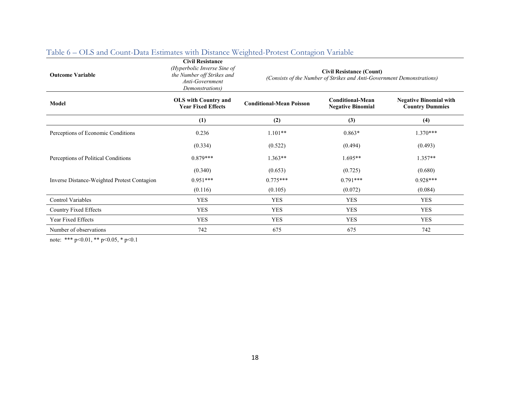| <b>Outcome Variable</b>                     | <b>Civil Resistance</b><br>(Hyperbolic Inverse Sine of<br>the Number off Strikes and<br>Anti-Government<br>Demonstrations) | <b>Civil Resistance (Count)</b><br>(Consists of the Number of Strikes and Anti-Government Demonstrations) |                                                     |                                                         |  |  |  |  |
|---------------------------------------------|----------------------------------------------------------------------------------------------------------------------------|-----------------------------------------------------------------------------------------------------------|-----------------------------------------------------|---------------------------------------------------------|--|--|--|--|
| Model                                       | <b>OLS</b> with Country and<br><b>Year Fixed Effects</b>                                                                   | <b>Conditional-Mean Poisson</b>                                                                           | <b>Conditional-Mean</b><br><b>Negative Binomial</b> | <b>Negative Binomial with</b><br><b>Country Dummies</b> |  |  |  |  |
|                                             | (1)                                                                                                                        | (2)                                                                                                       | (3)                                                 | (4)                                                     |  |  |  |  |
| Perceptions of Economic Conditions          | 0.236                                                                                                                      | $1.101**$                                                                                                 | $0.863*$                                            | $1.370***$                                              |  |  |  |  |
|                                             | (0.334)                                                                                                                    | (0.522)                                                                                                   | (0.494)                                             | (0.493)                                                 |  |  |  |  |
| Perceptions of Political Conditions         | $0.879***$                                                                                                                 | $1.363**$                                                                                                 | $1.695**$                                           | $1.357**$                                               |  |  |  |  |
|                                             | (0.340)                                                                                                                    | (0.653)                                                                                                   | (0.725)                                             | (0.680)                                                 |  |  |  |  |
| Inverse Distance-Weighted Protest Contagion | $0.951***$                                                                                                                 | $0.775***$                                                                                                | $0.791***$                                          | $0.928***$                                              |  |  |  |  |
|                                             | (0.116)                                                                                                                    | (0.105)                                                                                                   | (0.072)                                             | (0.084)                                                 |  |  |  |  |
| Control Variables                           | YES                                                                                                                        | YES                                                                                                       | YES                                                 | <b>YES</b>                                              |  |  |  |  |
| Country Fixed Effects                       | <b>YES</b>                                                                                                                 | <b>YES</b>                                                                                                | <b>YES</b>                                          | <b>YES</b>                                              |  |  |  |  |
| Year Fixed Effects                          | <b>YES</b>                                                                                                                 | <b>YES</b>                                                                                                | <b>YES</b>                                          | <b>YES</b>                                              |  |  |  |  |
| Number of observations                      | 742                                                                                                                        | 675                                                                                                       | 675                                                 | 742                                                     |  |  |  |  |

## Table 6 – OLS and Count-Data Estimates with Distance Weighted-Protest Contagion Variable

note: \*\*\* p<0.01, \*\* p<0.05, \* p<0.1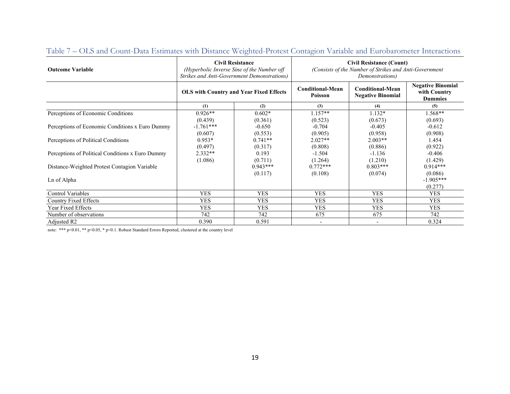| <b>Outcome Variable</b>                          | <b>Civil Resistance</b><br><b>Strikes and Anti-Government Demonstrations)</b> | (Hyperbolic Inverse Sine of the Number off | <b>Civil Resistance (Count)</b><br>(Consists of the Number of Strikes and Anti-Government<br>Demonstrations) |                                                     |                                                            |  |
|--------------------------------------------------|-------------------------------------------------------------------------------|--------------------------------------------|--------------------------------------------------------------------------------------------------------------|-----------------------------------------------------|------------------------------------------------------------|--|
|                                                  | <b>OLS with Country and Year Fixed Effects</b>                                |                                            | <b>Conditional-Mean</b><br>Poisson                                                                           | <b>Conditional-Mean</b><br><b>Negative Binomial</b> | <b>Negative Binomial</b><br>with Country<br><b>Dummies</b> |  |
|                                                  | (1)                                                                           | (2)                                        | (3)                                                                                                          | (4)                                                 | (5)                                                        |  |
| Perceptions of Economic Conditions               | $0.926**$<br>(0.439)                                                          | $0.602*$<br>(0.361)                        | $1.157**$<br>(0.523)                                                                                         | $1.132*$<br>(0.673)                                 | $1.568**$<br>(0.693)                                       |  |
| Perceptions of Economic Conditions x Euro Dummy  | $-1.761***$<br>(0.607)                                                        | $-0.650$<br>(0.553)                        | $-0.704$<br>(0.905)                                                                                          | $-0.405$<br>(0.958)                                 | $-0.612$<br>(0.908)                                        |  |
| Perceptions of Political Conditions              | $0.953*$<br>(0.497)                                                           | $0.741**$<br>(0.317)                       | $2.027**$<br>(0.808)                                                                                         | $2.003**$<br>(0.886)                                | 1.454<br>(0.922)                                           |  |
| Perceptions of Political Conditions x Euro Dummy | $2.332**$<br>(1.086)                                                          | 0.193<br>(0.711)                           | $-1.504$<br>(1.264)                                                                                          | $-1.136$<br>(1.210)                                 | $-0.406$<br>(1.429)                                        |  |
| Distance-Weighted Protest Contagion Variable     |                                                                               | $0.943***$                                 | $0.772***$                                                                                                   | $0.803***$                                          | $0.914***$                                                 |  |
| Ln of Alpha                                      |                                                                               | (0.117)                                    | (0.108)                                                                                                      | (0.074)                                             | (0.086)<br>$-1.905***$<br>(0.277)                          |  |
| Control Variables                                | <b>YES</b>                                                                    | <b>YES</b>                                 | <b>YES</b>                                                                                                   | <b>YES</b>                                          | <b>YES</b>                                                 |  |
| <b>Country Fixed Effects</b>                     | <b>YES</b>                                                                    | <b>YES</b>                                 | <b>YES</b>                                                                                                   | <b>YES</b>                                          | <b>YES</b>                                                 |  |
| Year Fixed Effects                               | <b>YES</b>                                                                    | <b>YES</b>                                 | <b>YES</b>                                                                                                   | <b>YES</b>                                          | <b>YES</b>                                                 |  |
| Number of observations                           | 742                                                                           | 742                                        | 675                                                                                                          | 675                                                 | 742                                                        |  |
| Adjusted R <sub>2</sub>                          | 0.390                                                                         | 0.591                                      |                                                                                                              | $\overline{\phantom{0}}$                            | 0.324                                                      |  |

# Table 7 – OLS and Count-Data Estimates with Distance Weighted-Protest Contagion Variable and Eurobarometer Interactions

note: \*\*\* p<0.01, \*\* p<0.05, \* p<0.1. Robust Standard Errors Reported, clustered at the country level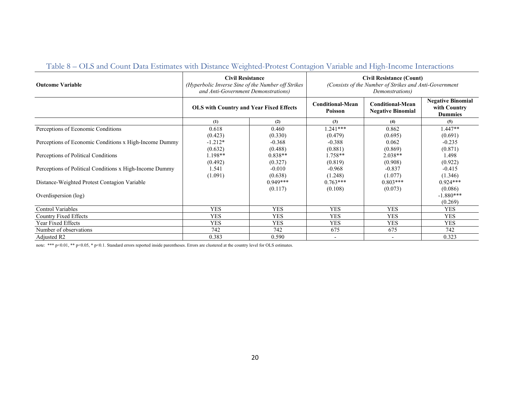| <b>Outcome Variable</b>                                 | <b>Civil Resistance</b><br>(Hyperbolic Inverse Sine of the Number off Strikes<br>and Anti-Government Demonstrations) |                       | <b>Civil Resistance (Count)</b><br>(Consists of the Number of Strikes and Anti-Government<br>Demonstrations) |                                                     |                                                            |  |
|---------------------------------------------------------|----------------------------------------------------------------------------------------------------------------------|-----------------------|--------------------------------------------------------------------------------------------------------------|-----------------------------------------------------|------------------------------------------------------------|--|
|                                                         | <b>OLS with Country and Year Fixed Effects</b>                                                                       |                       | <b>Conditional-Mean</b><br>Poisson                                                                           | <b>Conditional-Mean</b><br><b>Negative Binomial</b> | <b>Negative Binomial</b><br>with Country<br><b>Dummies</b> |  |
|                                                         | (1)                                                                                                                  | (2)                   | (3)                                                                                                          | (4)                                                 | (5)                                                        |  |
| Perceptions of Economic Conditions                      | 0.618                                                                                                                | 0.460                 | $1.241***$                                                                                                   | 0.862                                               | $1.447**$                                                  |  |
|                                                         | (0.423)                                                                                                              | (0.330)               | (0.479)                                                                                                      | (0.695)                                             | (0.691)                                                    |  |
| Perceptions of Economic Conditions x High-Income Dummy  | $-1.212*$                                                                                                            | $-0.368$              | $-0.388$                                                                                                     | 0.062                                               | $-0.235$                                                   |  |
|                                                         | (0.632)                                                                                                              | (0.488)               | (0.881)                                                                                                      | (0.869)                                             | (0.871)                                                    |  |
| Perceptions of Political Conditions                     | 1.198**                                                                                                              | $0.838**$             | 1.758**                                                                                                      | $2.038**$                                           | 1.498                                                      |  |
|                                                         | (0.492)                                                                                                              | (0.327)               | (0.819)                                                                                                      | (0.908)                                             | (0.922)                                                    |  |
| Perceptions of Political Conditions x High-Income Dummy | 1.541                                                                                                                | $-0.010$              | $-0.968$                                                                                                     | $-0.837$                                            | $-0.415$                                                   |  |
| Distance-Weighted Protest Contagion Variable            | (1.091)                                                                                                              | (0.638)<br>$0.949***$ | (1.248)<br>$0.763***$                                                                                        | (1.077)<br>$0.803***$                               | (1.346)<br>$0.924***$                                      |  |
|                                                         |                                                                                                                      | (0.117)               | (0.108)                                                                                                      | (0.073)                                             | (0.086)<br>$-1.880***$                                     |  |
| Overdispersion (log)                                    |                                                                                                                      |                       |                                                                                                              |                                                     | (0.269)                                                    |  |
| <b>Control Variables</b>                                | <b>YES</b>                                                                                                           | <b>YES</b>            | <b>YES</b>                                                                                                   | <b>YES</b>                                          | <b>YES</b>                                                 |  |
| <b>Country Fixed Effects</b>                            | <b>YES</b>                                                                                                           | <b>YES</b>            | <b>YES</b>                                                                                                   | <b>YES</b>                                          | <b>YES</b>                                                 |  |
| Year Fixed Effects                                      | <b>YES</b>                                                                                                           | <b>YES</b>            | <b>YES</b>                                                                                                   | <b>YES</b>                                          | <b>YES</b>                                                 |  |
| Number of observations                                  | 742                                                                                                                  | 742                   | 675                                                                                                          | 675                                                 | 742                                                        |  |
| Adjusted R2                                             | 0.383                                                                                                                | 0.590                 | $\overline{\phantom{a}}$                                                                                     |                                                     | 0.323                                                      |  |

## Table 8 – OLS and Count Data Estimates with Distance Weighted-Protest Contagion Variable and High-Income Interactions

note: \*\*\* p<0.01, \*\* p<0.05, \* p<0.1. Standard errors reported inside parentheses. Errors are clustered at the country level for OLS estimates.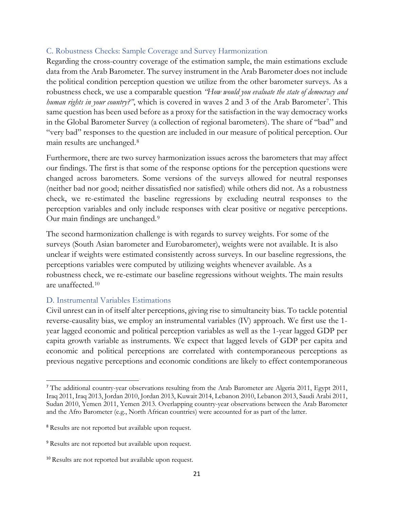#### C. Robustness Checks: Sample Coverage and Survey Harmonization

Regarding the cross-country coverage of the estimation sample, the main estimations exclude data from the Arab Barometer. The survey instrument in the Arab Barometer does not include the political condition perception question we utilize from the other barometer surveys. As a robustness check, we use a comparable question *"How would you evaluate the state of democracy and human rights in your country?"*, which is covered in waves 2 and 3 of the Arab Barometer[7](#page-20-0). This same question has been used before as a proxy for the satisfaction in the way democracy works in the Global Barometer Survey (a collection of regional barometers). The share of "bad" and "very bad" responses to the question are included in our measure of political perception. Our main results are unchanged.[8](#page-20-1)

Furthermore, there are two survey harmonization issues across the barometers that may affect our findings. The first is that some of the response options for the perception questions were changed across barometers. Some versions of the surveys allowed for neutral responses (neither bad nor good; neither dissatisfied nor satisfied) while others did not. As a robustness check, we re-estimated the baseline regressions by excluding neutral responses to the perception variables and only include responses with clear positive or negative perceptions. Our main findings are unchanged.[9](#page-20-2)

The second harmonization challenge is with regards to survey weights. For some of the surveys (South Asian barometer and Eurobarometer), weights were not available. It is also unclear if weights were estimated consistently across surveys. In our baseline regressions, the perceptions variables were computed by utilizing weights whenever available. As a robustness check, we re-estimate our baseline regressions without weights. The main results are unaffected.[10](#page-20-3)

#### D. Instrumental Variables Estimations

Civil unrest can in of itself alter perceptions, giving rise to simultaneity bias. To tackle potential reverse-causality bias, we employ an instrumental variables (IV) approach. We first use the 1 year lagged economic and political perception variables as well as the 1-year lagged GDP per capita growth variable as instruments. We expect that lagged levels of GDP per capita and economic and political perceptions are correlated with contemporaneous perceptions as previous negative perceptions and economic conditions are likely to effect contemporaneous

<span id="page-20-0"></span><sup>&</sup>lt;sup>7</sup> The additional country-year observations resulting from the Arab Barometer are Algeria 2011, Egypt 2011, Iraq 2011, Iraq 2013, Jordan 2010, Jordan 2013, Kuwait 2014, Lebanon 2010, Lebanon 2013, Saudi Arabi 2011, Sudan 2010, Yemen 2011, Yemen 2013. Overlapping country-year observations between the Arab Barometer and the Afro Barometer (e.g., North African countries) were accounted for as part of the latter.

<span id="page-20-1"></span><sup>8</sup> Results are not reported but available upon request.

<span id="page-20-2"></span><sup>9</sup> Results are not reported but available upon request.

<span id="page-20-3"></span><sup>10</sup> Results are not reported but available upon request.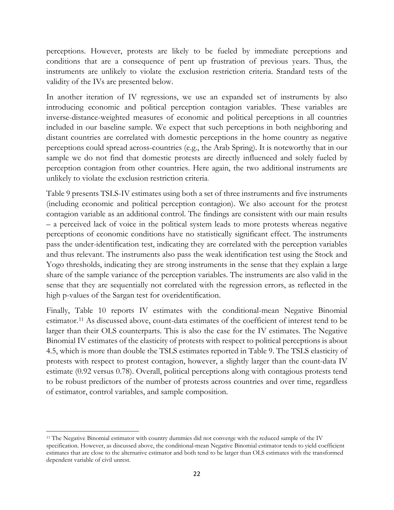perceptions. However, protests are likely to be fueled by immediate perceptions and conditions that are a consequence of pent up frustration of previous years. Thus, the instruments are unlikely to violate the exclusion restriction criteria. Standard tests of the validity of the IVs are presented below.

In another iteration of IV regressions, we use an expanded set of instruments by also introducing economic and political perception contagion variables. These variables are inverse-distance-weighted measures of economic and political perceptions in all countries included in our baseline sample. We expect that such perceptions in both neighboring and distant countries are correlated with domestic perceptions in the home country as negative perceptions could spread across-countries (e.g., the Arab Spring). It is noteworthy that in our sample we do not find that domestic protests are directly influenced and solely fueled by perception contagion from other countries. Here again, the two additional instruments are unlikely to violate the exclusion restriction criteria.

Table 9 presents TSLS-IV estimates using both a set of three instruments and five instruments (including economic and political perception contagion). We also account for the protest contagion variable as an additional control. The findings are consistent with our main results – a perceived lack of voice in the political system leads to more protests whereas negative perceptions of economic conditions have no statistically significant effect. The instruments pass the under-identification test, indicating they are correlated with the perception variables and thus relevant. The instruments also pass the weak identification test using the Stock and Yogo thresholds, indicating they are strong instruments in the sense that they explain a large share of the sample variance of the perception variables. The instruments are also valid in the sense that they are sequentially not correlated with the regression errors, as reflected in the high p-values of the Sargan test for overidentification.

Finally, Table 10 reports IV estimates with the conditional-mean Negative Binomial estimator.[11](#page-21-0) As discussed above, count-data estimates of the coefficient of interest tend to be larger than their OLS counterparts. This is also the case for the IV estimates. The Negative Binomial IV estimates of the elasticity of protests with respect to political perceptions is about 4.5, which is more than double the TSLS estimates reported in Table 9. The TSLS elasticity of protests with respect to protest contagion, however, a slightly larger than the count-data IV estimate (0.92 versus 0.78). Overall, political perceptions along with contagious protests tend to be robust predictors of the number of protests across countries and over time, regardless of estimator, control variables, and sample composition.

<span id="page-21-0"></span><sup>&</sup>lt;sup>11</sup> The Negative Binomial estimator with country dummies did not converge with the reduced sample of the IV specification. However, as discussed above, the conditional-mean Negative Binomial estimator tends to yield coefficient estimates that are close to the alternative estimator and both tend to be larger than OLS estimates with the transformed dependent variable of civil unrest.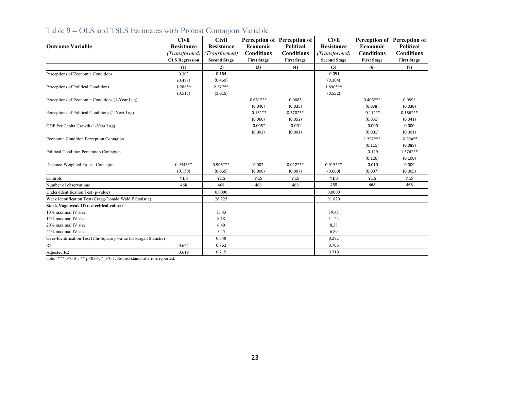|                                                                    | <b>Civil</b>          | <b>Civil</b>        |                    | Perception of Perception of | <b>Civil</b>        |                    | Perception of Perception of |
|--------------------------------------------------------------------|-----------------------|---------------------|--------------------|-----------------------------|---------------------|--------------------|-----------------------------|
| <b>Outcome Variable</b>                                            | <b>Resistance</b>     | Resistance          | Economic           | Political                   | <b>Resistance</b>   | Economic           | <b>Political</b>            |
|                                                                    | (Transformed)         | (Transformed)       | <b>Conditions</b>  | <b>Conditions</b>           | (Transformed)       | <b>Conditions</b>  | <b>Conditions</b>           |
|                                                                    | <b>OLS Regression</b> | <b>Second Stage</b> | <b>First Stage</b> | <b>First Stage</b>          | <b>Second Stage</b> | <b>First Stage</b> | <b>First Stage</b>          |
|                                                                    | (1)                   | (2)                 | (3)                | (4)                         | (5)                 | (6)                | (7)                         |
| Perceptions of Economic Conditions                                 | 0.303                 | 0.164               |                    |                             | $-0.051$            |                    |                             |
|                                                                    | (0.473)               | (0.469)             |                    |                             | (0.364)             |                    |                             |
| Perceptions of Political Conditions                                | 1.288**               | $2.377**$           |                    |                             | $1.890***$          |                    |                             |
|                                                                    | (0.517)               | (1.015)             |                    |                             | (0.552)             |                    |                             |
| Perceptions of Economic Conditions (1-Year Lag)                    |                       |                     | $0.661***$         | $0.068*$                    |                     | $0.406***$         | $0.059*$                    |
|                                                                    |                       |                     | (0.040)            | (0.035)                     |                     | (0.038)            | (0.030)                     |
| Perceptions of Political Conditions (1-Year Lag)                   |                       |                     | $-0.151**$         | $0.370***$                  |                     | $-0.112**$         | $0.186***$                  |
|                                                                    |                       |                     | (0.060)            | (0.052)                     |                     | (0.051)            | (0.041)                     |
| GDP Per Capita Growth (1-Year Lag)                                 |                       |                     | $-0.003*$          | $-0.001$                    |                     | $-0.000$           | 0.000                       |
|                                                                    |                       |                     | (0.002)            | (0.001)                     |                     | (0.001)            | (0.001)                     |
| Economic Condition Perception Contagion                            |                       |                     |                    |                             |                     | $1.357***$         | $-0.204**$                  |
|                                                                    |                       |                     |                    |                             |                     | (0.111)            | (0.088)                     |
| Political Condition Perception Contagion                           |                       |                     |                    |                             |                     | $-0.129$           | $1.574***$                  |
|                                                                    |                       |                     |                    |                             |                     | (0.126)            | (0.100)                     |
| Distance-Weighted Protest Contagion                                | $0.934***$            | $0.905***$          | 0.002              | $0.022***$                  | $0.915***$          | $-0.010$           | 0.009                       |
|                                                                    | (0.150)               | (0.065)             | (0.008)            | (0.007)                     | (0.060)             | (0.007)            | (0.005)                     |
| Controls                                                           | <b>YES</b>            | <b>YES</b>          | <b>YES</b>         | <b>YES</b>                  | <b>YES</b>          | <b>YES</b>         | <b>YES</b>                  |
| Number of observations                                             | 468                   | 468                 | 468                | 468                         | 468                 | 468                | 468                         |
| Under-Identification Test (p-value)                                |                       | 0.0000              |                    |                             | 0.0000              |                    |                             |
| Weak Identification Test (Cragg-Donald Wald F Statistic)           |                       | 26.225              |                    |                             | 91.820              |                    |                             |
| Stock-Yogo weak ID test critical values:                           |                       |                     |                    |                             |                     |                    |                             |
| 10% maximal IV size                                                |                       | 13.43               |                    |                             | 19.45               |                    |                             |
| 15% maximal IV size                                                |                       | 8.18                |                    |                             | 11.22               |                    |                             |
| 20% maximal IV size                                                |                       | 6.40                |                    |                             | 8.38                |                    |                             |
| 25% maximal IV size                                                |                       | 5.45                |                    |                             | 6.89                |                    |                             |
| Over-Identification Test (Chi-Square p-value for Sargan Statistic) |                       | 0.348               |                    |                             | 0.292               |                    |                             |
| R2                                                                 | 0.645                 | 0.762               |                    |                             | 0.765               |                    |                             |
| Adjusted R2                                                        | 0.619                 | 0.715               |                    |                             | 0.718               |                    |                             |

# Table 9 – OLS and TSLS Estimates with Protest Contagion Variable

note: \*\*\*  $p<0.01$ , \*\*  $p<0.05$ , \*  $p<0.1$ . Robust standard errors reported.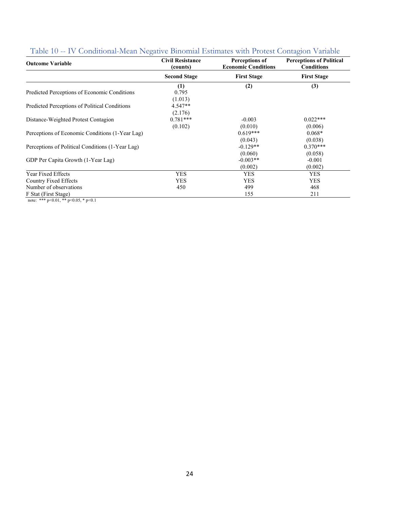| Ő<br><b>Outcome Variable</b>                     | <b>Civil Resistance</b><br>(counts) | Perceptions of<br><b>Economic Conditions</b> | $\cup$<br><b>Perceptions of Political</b><br><b>Conditions</b> |
|--------------------------------------------------|-------------------------------------|----------------------------------------------|----------------------------------------------------------------|
|                                                  | <b>Second Stage</b>                 | <b>First Stage</b>                           | <b>First Stage</b>                                             |
| Predicted Perceptions of Economic Conditions     | (1)<br>0.795                        | (2)                                          | (3)                                                            |
| Predicted Perceptions of Political Conditions    | (1.013)<br>$4.547**$<br>(2.176)     |                                              |                                                                |
| Distance-Weighted Protest Contagion              | $0.781***$<br>(0.102)               | $-0.003$<br>(0.010)                          | $0.022***$<br>(0.006)                                          |
| Perceptions of Economic Conditions (1-Year Lag)  |                                     | $0.619***$                                   | $0.068*$                                                       |
| Perceptions of Political Conditions (1-Year Lag) |                                     | (0.043)<br>$-0.129**$                        | (0.038)<br>$0.370***$                                          |
| GDP Per Capita Growth (1-Year Lag)               |                                     | (0.060)<br>$-0.003**$<br>(0.002)             | (0.058)<br>$-0.001$<br>(0.002)                                 |
| Year Fixed Effects                               | <b>YES</b>                          | <b>YES</b>                                   | <b>YES</b>                                                     |
| <b>Country Fixed Effects</b>                     | <b>YES</b>                          | <b>YES</b>                                   | <b>YES</b>                                                     |
| Number of observations                           | 450                                 | 499                                          | 468                                                            |
| F Stat (First Stage)                             |                                     | 155                                          | 211                                                            |

|  |  |  |  |  | Table 10 -- IV Conditional-Mean Negative Binomial Estimates with Protest Contagion Variable |  |
|--|--|--|--|--|---------------------------------------------------------------------------------------------|--|
|  |  |  |  |  |                                                                                             |  |

note: \*\*\* p<0.01, \*\* p<0.05, \* p<0.1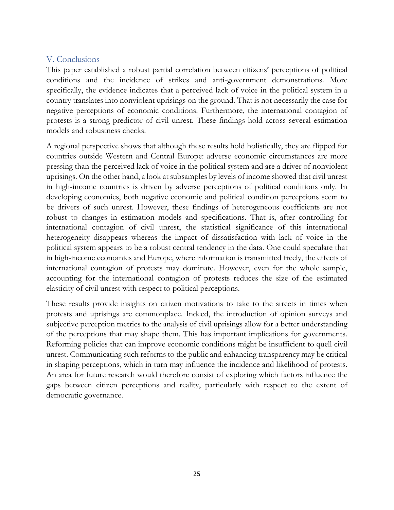### V. Conclusions

This paper established a robust partial correlation between citizens' perceptions of political conditions and the incidence of strikes and anti-government demonstrations. More specifically, the evidence indicates that a perceived lack of voice in the political system in a country translates into nonviolent uprisings on the ground. That is not necessarily the case for negative perceptions of economic conditions. Furthermore, the international contagion of protests is a strong predictor of civil unrest. These findings hold across several estimation models and robustness checks.

A regional perspective shows that although these results hold holistically, they are flipped for countries outside Western and Central Europe: adverse economic circumstances are more pressing than the perceived lack of voice in the political system and are a driver of nonviolent uprisings. On the other hand, a look at subsamples by levels of income showed that civil unrest in high-income countries is driven by adverse perceptions of political conditions only. In developing economies, both negative economic and political condition perceptions seem to be drivers of such unrest. However, these findings of heterogeneous coefficients are not robust to changes in estimation models and specifications. That is, after controlling for international contagion of civil unrest, the statistical significance of this international heterogeneity disappears whereas the impact of dissatisfaction with lack of voice in the political system appears to be a robust central tendency in the data. One could speculate that in high-income economies and Europe, where information is transmitted freely, the effects of international contagion of protests may dominate. However, even for the whole sample, accounting for the international contagion of protests reduces the size of the estimated elasticity of civil unrest with respect to political perceptions.

These results provide insights on citizen motivations to take to the streets in times when protests and uprisings are commonplace. Indeed, the introduction of opinion surveys and subjective perception metrics to the analysis of civil uprisings allow for a better understanding of the perceptions that may shape them. This has important implications for governments. Reforming policies that can improve economic conditions might be insufficient to quell civil unrest. Communicating such reforms to the public and enhancing transparency may be critical in shaping perceptions, which in turn may influence the incidence and likelihood of protests. An area for future research would therefore consist of exploring which factors influence the gaps between citizen perceptions and reality, particularly with respect to the extent of democratic governance.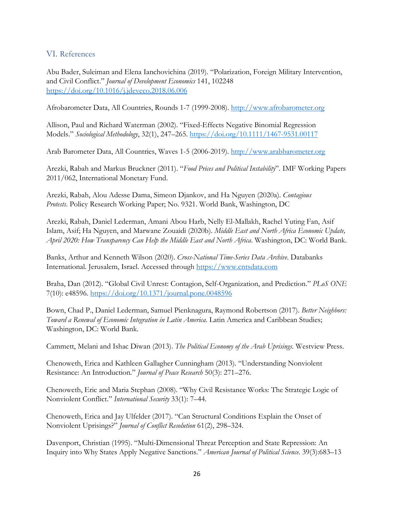#### VI. References

Abu Bader, Suleiman and Elena Ianchovichina (2019). "Polarization, Foreign Military Intervention, and Civil Conflict." *Journal of Development Economics* 141, 102248 <https://doi.org/10.1016/j.jdeveco.2018.06.006>

Afrobarometer Data, All Countries, Rounds 1-7 (1999-2008). [http://www.afrobarometer.org](http://www.afrobarometer.org/)

Allison, Paul and Richard Waterman (2002). "Fixed-Effects Negative Binomial Regression Models." *Sociological Methodology*, 32(1), 247–265. <https://doi.org/10.1111/1467-9531.00117>

Arab Barometer Data, All Countries, Waves 1-5 (2006-2019). [http://www.arabbarometer.org](http://www.arabbarometer.org/)

Arezki, Rabah and Markus Bruckner (2011). "*Food Prices and Political Instability*". IMF Working Papers 2011/062, International Monetary Fund.

Arezki, Rabah, Alou Adesse Dama, Simeon Djankov, and Ha Nguyen (2020a). *Contagious Protests*. Policy Research Working Paper; No. 9321. World Bank, Washington, DC

Arezki, Rabah, Daniel Lederman, Amani Abou Harb, Nelly El-Mallakh, Rachel Yuting Fan, Asif Islam, Asif; Ha Nguyen, and Marwane Zouaidi (2020b). *Middle East and North Africa Economic Update, April 2020: How Transparency Can Help the Middle East and North Africa*. Washington, DC: World Bank.

Banks, Arthur and Kenneth Wilson (2020). *Cross-National Time-Series Data Archive*. Databanks International. Jerusalem, Israel. Accessed through [https://www.cntsdata.com](https://www.cntsdata.com/)

Braha, Dan (2012). "Global Civil Unrest: Contagion, Self-Organization, and Prediction." *PLoS ONE* 7(10): e48596.<https://doi.org/10.1371/journal.pone.0048596>

Bown, Chad P., Daniel Lederman, Samuel Pienknagura, Raymond Robertson (2017). *Better Neighbors: Toward a Renewal of Economic Integration in Latin America*. Latin America and Caribbean Studies; Washington, DC: World Bank.

Cammett, Melani and Ishac Diwan (2013). *The Political Economy of the Arab Uprisings*. Westview Press.

Chenoweth, Erica and Kathleen Gallagher Cunningham (2013). "Understanding Nonviolent Resistance: An Introduction*.*" *Journal of Peace Research* 50(3): 271–276.

Chenoweth, Eric and Maria Stephan (2008). "Why Civil Resistance Works: The Strategic Logic of Nonviolent Conflict." *International Security* 33(1): 7–44.

Chenoweth, Erica and Jay Ulfelder (2017). "Can Structural Conditions Explain the Onset of Nonviolent Uprisings?" *Journal of Conflict Resolution* 61(2), 298–324.

Davenport, Christian (1995). "Multi-Dimensional Threat Perception and State Repression: An Inquiry into Why States Apply Negative Sanctions." *American Journal of Political Science*. 39(3):683–13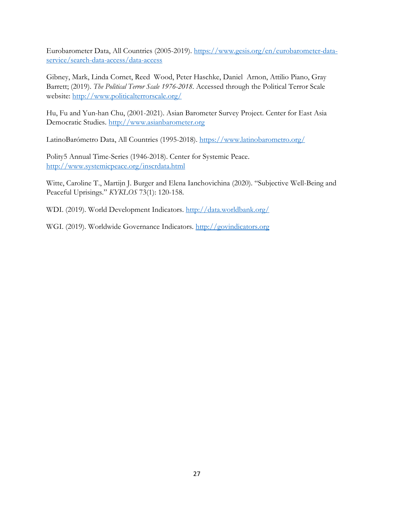Eurobarometer Data, All Countries (2005-2019). [https://www.gesis.org/en/eurobarometer-data](https://www.gesis.org/en/eurobarometer-data-service/search-data-access/data-access)[service/search-data-access/data-access](https://www.gesis.org/en/eurobarometer-data-service/search-data-access/data-access)

Gibney, Mark, Linda Cornet, Reed Wood, Peter Haschke, Daniel Arnon, Attilio Piano, Gray Barrett; (2019). *The Political Terror Scale 1976-2018*. Accessed through the Political Terror Scale website:<http://www.politicalterrorscale.org/>

Hu, Fu and Yun-han Chu, (2001-2021). Asian Barometer Survey Project. Center for East Asia Democratic Studies. http:/[/www.asianbarometer.org](http://www.asianbarometer.org/)

LatinoBarómetro Data, All Countries (1995-2018).<https://www.latinobarometro.org/>

Polity5 Annual Time-Series (1946-2018). Center for Systemic Peace. <http://www.systemicpeace.org/inscrdata.html>

Witte, Caroline T., Martijn J. Burger and Elena Ianchovichina (2020). "Subjective Well-Being and Peaceful Uprisings." *KYKLOS* 73(1): 120-158.

WDI. (2019). World Development Indicators.<http://data.worldbank.org/>

WGI. (2019). Worldwide Governance Indicators. [http://govindicators.org](http://govindicators.org/)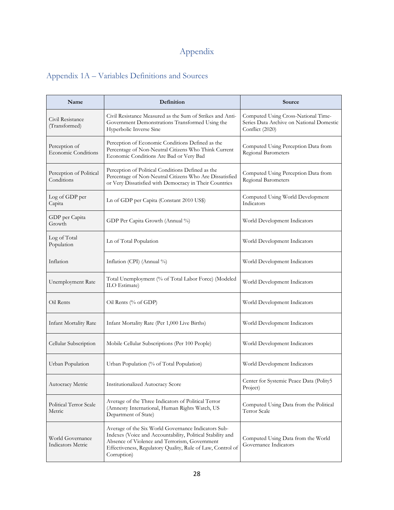# Appendix

# Appendix 1A – Variables Definitions and Sources

| Name                                                                                                                                                                                                                                                                                     | Definition                                                                                                                                                             | Source                                                                                             |  |  |  |
|------------------------------------------------------------------------------------------------------------------------------------------------------------------------------------------------------------------------------------------------------------------------------------------|------------------------------------------------------------------------------------------------------------------------------------------------------------------------|----------------------------------------------------------------------------------------------------|--|--|--|
| Civil Resistance<br>(Transformed)                                                                                                                                                                                                                                                        | Civil Resistance Measured as the Sum of Strikes and Anti-<br>Government Demonstrations Transformed Using the<br>Hyperbolic Inverse Sine                                | Computed Using Cross-National Time-<br>Series Data Archive on National Domestic<br>Conflict (2020) |  |  |  |
| Perception of<br><b>Economic Conditions</b>                                                                                                                                                                                                                                              | Perception of Economic Conditions Defined as the<br>Percentage of Non-Neutral Citizens Who Think Current<br>Economic Conditions Are Bad or Very Bad                    | Computed Using Perception Data from<br>Regional Barometers                                         |  |  |  |
| Perception of Political<br>Conditions                                                                                                                                                                                                                                                    | Perception of Political Conditions Defined as the<br>Percentage of Non-Neutral Citizens Who Are Dissatisfied<br>or Very Dissatisfied with Democracy in Their Countries | Computed Using Perception Data from<br>Regional Barometers                                         |  |  |  |
| Log of GDP per<br>Capita                                                                                                                                                                                                                                                                 | Ln of GDP per Capita (Constant 2010 US\$)                                                                                                                              | Computed Using World Development<br>Indicators                                                     |  |  |  |
| GDP per Capita<br>Growth                                                                                                                                                                                                                                                                 | GDP Per Capita Growth (Annual %)                                                                                                                                       | World Development Indicators                                                                       |  |  |  |
| Log of Total<br>Population                                                                                                                                                                                                                                                               | Ln of Total Population                                                                                                                                                 | World Development Indicators                                                                       |  |  |  |
| Inflation                                                                                                                                                                                                                                                                                | Inflation (CPI) (Annual %)                                                                                                                                             | World Development Indicators                                                                       |  |  |  |
| Unemployment Rate                                                                                                                                                                                                                                                                        | Total Unemployment (% of Total Labor Force) (Modeled<br>ILO Estimate)                                                                                                  | World Development Indicators                                                                       |  |  |  |
| Oil Rents                                                                                                                                                                                                                                                                                | Oil Rents (% of GDP)                                                                                                                                                   | World Development Indicators                                                                       |  |  |  |
| <b>Infant Mortality Rate</b>                                                                                                                                                                                                                                                             | Infant Mortality Rate (Per 1,000 Live Births)                                                                                                                          | World Development Indicators                                                                       |  |  |  |
| Cellular Subscription                                                                                                                                                                                                                                                                    | Mobile Cellular Subscriptions (Per 100 People)                                                                                                                         | World Development Indicators                                                                       |  |  |  |
| Urban Population                                                                                                                                                                                                                                                                         | Urban Population (% of Total Population)                                                                                                                               | World Development Indicators                                                                       |  |  |  |
| Autocracy Metric                                                                                                                                                                                                                                                                         | <b>Institutionalized Autocracy Score</b>                                                                                                                               | Center for Systemic Peace Data (Polity5<br>Project)                                                |  |  |  |
| Average of the Three Indicators of Political Terror<br>Political Terror Scale<br>(Amnesty International, Human Rights Watch, US<br>Metric<br>Department of State)                                                                                                                        |                                                                                                                                                                        | Computed Using Data from the Political<br>Terror Scale                                             |  |  |  |
| Average of the Six World Governance Indicators Sub-<br>Indexes (Voice and Accountability, Political Stability and<br>World Governance<br>Absence of Violence and Terrorism, Government<br>Indicators Metric<br>Effectiveness, Regulatory Quality, Rule of Law, Control of<br>Corruption) |                                                                                                                                                                        | Computed Using Data from the World<br>Governance Indicators                                        |  |  |  |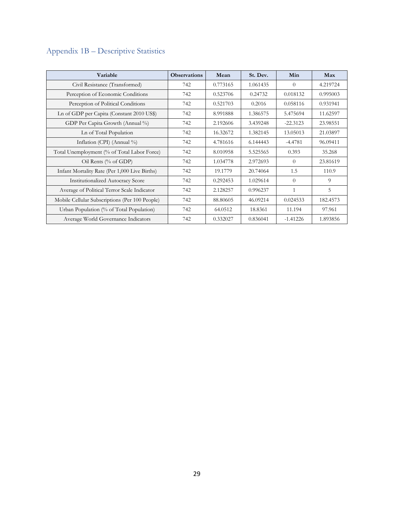# Appendix 1B – Descriptive Statistics

| Variable                                       | <b>Observations</b> | Mean     | St. Dev. | Min        | Max      |
|------------------------------------------------|---------------------|----------|----------|------------|----------|
| Civil Resistance (Transformed)                 | 742                 | 0.773165 | 1.061435 | $\Omega$   | 4.219724 |
| Perception of Economic Conditions              | 742                 | 0.523706 | 0.24732  | 0.018132   | 0.995003 |
| Perception of Political Conditions             | 742                 | 0.521703 | 0.2016   | 0.058116   | 0.931941 |
| Ln of GDP per Capita (Constant 2010 US\$)      | 742                 | 8.991888 | 1.386575 | 5.475694   | 11.62597 |
| GDP Per Capita Growth (Annual %)               | 742                 | 2.192606 | 3.439248 | $-22.3123$ | 23.98551 |
| Ln of Total Population                         | 742                 | 16.32672 | 1.382145 | 13.05013   | 21.03897 |
| Inflation (CPI) (Annual %)                     | 742                 | 4.781616 | 6.144443 | $-4.4781$  | 96.09411 |
| Total Unemployment (% of Total Labor Force)    | 742                 | 8.010958 | 5.525565 | 0.393      | 35.268   |
| Oil Rents (% of GDP)                           | 742                 | 1.034778 | 2.972693 | $\Omega$   | 23.81619 |
| Infant Mortality Rate (Per 1,000 Live Births)  | 742                 | 19.1779  | 20.74064 | 1.5        | 110.9    |
| <b>Institutionalized Autocracy Score</b>       | 742                 | 0.292453 | 1.029614 | $\Omega$   | 9        |
| Average of Political Terror Scale Indicator    | 742                 | 2.128257 | 0.996237 | 1          | 5        |
| Mobile Cellular Subscriptions (Per 100 People) | 742                 | 88.80605 | 46.09214 | 0.024533   | 182.4573 |
| Urban Population (% of Total Population)       | 742                 | 64.0512  | 18.8361  | 11.194     | 97.961   |
| Average World Governance Indicators            | 742                 | 0.332027 | 0.836041 | $-1.41226$ | 1.893856 |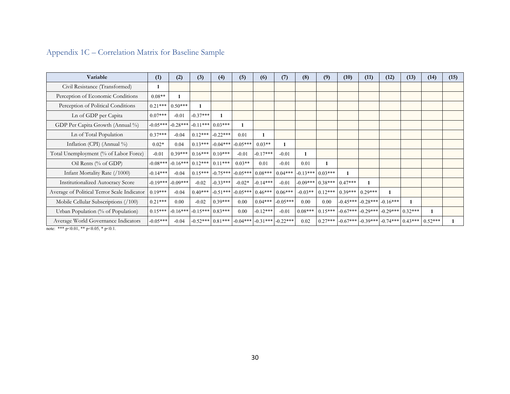| Variable                                    | (1)        | (2)                             | (3)                             | (4)        | (5)        | (6)        | (7)        | (8)        | (9)                | (10)      | (11)                  | (12)                                       | (13)      | (14)      | (15) |
|---------------------------------------------|------------|---------------------------------|---------------------------------|------------|------------|------------|------------|------------|--------------------|-----------|-----------------------|--------------------------------------------|-----------|-----------|------|
| Civil Resistance (Transformed)              |            |                                 |                                 |            |            |            |            |            |                    |           |                       |                                            |           |           |      |
| Perception of Economic Conditions           | $0.08**$   |                                 |                                 |            |            |            |            |            |                    |           |                       |                                            |           |           |      |
| Perception of Political Conditions          | $0.21***$  | $0.50***$                       | 1                               |            |            |            |            |            |                    |           |                       |                                            |           |           |      |
| Ln of GDP per Capita                        | $0.07***$  | $-0.01$                         | $-0.37***$                      |            |            |            |            |            |                    |           |                       |                                            |           |           |      |
| GDP Per Capita Growth (Annual %)            | $-0.05***$ | $-0.28***$                      | $-0.11***$ 0.03***              |            |            |            |            |            |                    |           |                       |                                            |           |           |      |
| Ln of Total Population                      | $0.37***$  | $-0.04$                         | $0.12***$                       | $-0.22***$ | 0.01       |            |            |            |                    |           |                       |                                            |           |           |      |
| Inflation (CPI) (Annual %)                  | $0.02*$    | 0.04                            | $0.13***$                       | $-0.04***$ | $-0.05***$ | $0.03**$   |            |            |                    |           |                       |                                            |           |           |      |
| Total Unemployment (% of Labor Force)       | $-0.01$    | $0.39***$                       | $0.16***$                       | $0.10***$  | $-0.01$    | $-0.17***$ | $-0.01$    |            |                    |           |                       |                                            |           |           |      |
| Oil Rents (% of GDP)                        |            | $-0.08***$ $-0.16***$ $0.12***$ |                                 | $0.11***$  | $0.03**$   | 0.01       | $-0.01$    | 0.01       | 1                  |           |                       |                                            |           |           |      |
| Infant Mortality Rate (/1000)               | $-0.14***$ | $-0.04$                         | $0.15***$                       | $-0.75***$ | $-0.05***$ | $0.08***$  | $0.04***$  | $-0.13***$ | $0.03***$          |           |                       |                                            |           |           |      |
| <b>Institutionalized Autocracy Score</b>    |            | $-0.19***$ $-0.09***$           | $-0.02$                         | $-0.33***$ | $-0.02*$   | $-0.14***$ | $-0.01$    |            | $-0.09***$ 0.38*** | $0.47***$ | $\mathbf{1}$          |                                            |           |           |      |
| Average of Political Terror Scale Indicator | $0.19***$  | $-0.04$                         | $0.40***$                       | $-0.51***$ | $-0.05***$ | $0.46***$  | $0.06***$  | $-0.03**$  | $0.12***$          | $0.39***$ | $0.29***$             |                                            |           |           |      |
| Mobile Cellular Subscriptions (/100)        | $0.21***$  | 0.00                            | $-0.02$                         | $0.39***$  | 0.00       | $0.04***$  | $-0.05***$ | 0.00       | 0.00               |           | $-0.45***$ $-0.28***$ | $-0.16***$                                 |           |           |      |
| Urban Population (% of Population)          | $0.15***$  |                                 | $-0.16***$ $-0.15***$ $0.83***$ |            | 0.00       | $-0.12***$ | $-0.01$    | $0.08***$  | $0.15***$          |           |                       | $-0.67***$ $-0.29***$ $-0.29***$ $0.32***$ |           |           |      |
| Average World Governance Indicators         | $-0.05***$ | $-0.04$                         | $-0.52***$                      | $0.81***$  | $-0.04***$ | $-0.31***$ | $-0.22***$ | 0.02       | $0.27***$          |           |                       | $-0.67***$ $-0.39***$ $-0.74***$           | $0.43***$ | $0.52***$ |      |

# Appendix 1C – Correlation Matrix for Baseline Sample

note: \*\*\* p<0.01, \*\* p<0.05, \* p<0.1.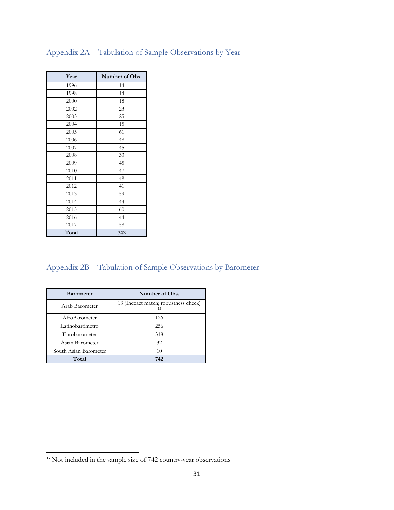| Year  | Number of Obs. |
|-------|----------------|
| 1996  | 14             |
| 1998  | 14             |
| 2000  | 18             |
| 2002  | 23             |
| 2003  | 25             |
| 2004  | 15             |
| 2005  | 61             |
| 2006  | 48             |
| 2007  | 45             |
| 2008  | 33             |
| 2009  | 45             |
| 2010  | 47             |
| 2011  | 48             |
| 2012  | 41             |
| 2013  | 59             |
| 2014  | 44             |
| 2015  | 60             |
| 2016  | 44             |
| 2017  | 58             |
| Total | 742            |

## Appendix 2A – Tabulation of Sample Observations by Year

# Appendix 2B – Tabulation of Sample Observations by Barometer

| <b>Barometer</b>      | Number of Obs.                             |
|-----------------------|--------------------------------------------|
| Arab Barometer        | 13 (Inexact match; robustness check)<br>12 |
| AfroBarometer         | 126                                        |
| Latinobarómetro       | 256                                        |
| Eurobarometer         | 318                                        |
| Asian Barometer       | 32                                         |
| South Asian Barometer | 10                                         |
| Total                 | 742                                        |

<span id="page-30-0"></span>Not included in the sample size of 742 country-year observations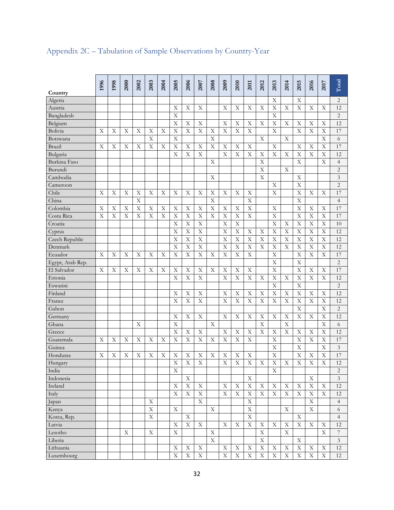|                  | 1996 | 1998 | 2000        | 2002 | 2003        | 2004 | 2005                      | 2006        | 2007        | 2008                      | 2009           | 2010        |             | 2012        | 2013        | 2014        | 2015                      | 2016                      |             |                             |
|------------------|------|------|-------------|------|-------------|------|---------------------------|-------------|-------------|---------------------------|----------------|-------------|-------------|-------------|-------------|-------------|---------------------------|---------------------------|-------------|-----------------------------|
| Country          |      |      |             |      |             |      |                           |             |             |                           |                |             | 2011        |             |             |             |                           |                           | 2017        | Total                       |
| Algeria          |      |      |             |      |             |      |                           |             |             |                           |                |             |             |             | Х           |             | Χ                         |                           |             | 2                           |
| Austria          |      |      |             |      |             |      | X                         | X           | Χ           |                           | X              | X           | X           | X           | X           | X           | X                         | X                         | Χ           | 12                          |
| Bangladesh       |      |      |             |      |             |      | X                         |             |             |                           |                |             |             |             | X           |             |                           |                           |             | $\overline{c}$              |
| Belgium          |      |      |             |      |             |      | $\boldsymbol{\mathrm{X}}$ | Χ           | Χ           |                           | X              | Χ           | X           | Χ           | X           | Χ           | Χ                         | X                         | Χ           | 12                          |
| Bolivia          | X    | X    | X           | X    | X           | X    | $\boldsymbol{\mathrm{X}}$ | X           | X           | X                         | X              | X           | X           |             | X           |             | X                         | $\mathbf X$               | X           | 17                          |
| Botswana         |      |      |             |      | X           |      | X                         |             |             | X                         |                |             |             | X           |             | X           |                           |                           | X           | 6                           |
| Brazil           | Χ    | Χ    | Χ           | X    | X           | Χ    | $\boldsymbol{\mathrm{X}}$ | Χ           | X           | $\boldsymbol{\mathrm{X}}$ | X              | X           | X           |             | X           |             | X                         | X                         | X           | 17                          |
| Bulgaria         |      |      |             |      |             |      | X                         | X           | $\mathbf X$ |                           | X              | X           | X           | X           | X           | X           | X                         | $\mathbf X$               | X           | 12                          |
| Burkina Faso     |      |      |             |      |             |      |                           |             |             | Χ                         |                |             |             | X           |             |             | X                         |                           | Χ           | $\overline{4}$              |
| Burundi          |      |      |             |      |             |      |                           |             |             |                           |                |             |             | X           |             | X           |                           |                           |             | $\overline{c}$              |
| Cambodia         |      |      |             |      |             |      |                           |             |             | X                         |                |             |             | X           |             |             | Χ                         |                           |             | 3                           |
| Cameroon         |      |      |             |      |             |      |                           |             |             |                           |                |             |             |             | Χ           |             | X                         |                           |             | $\overline{c}$              |
| Chile            | Х    | X    | X           | X    | X           | Χ    | Χ                         | Χ           | X           | X                         | X              | X           | Χ           |             | X           |             | X                         | X                         | Χ           | 17                          |
| China            |      |      |             | X    |             |      |                           |             |             | $\mathbf X$               |                |             | X           |             |             |             | X                         |                           |             | $\overline{4}$              |
| Colombia         | Х    | Χ    | Χ           | X    | Х           | Χ    | Χ                         | Χ           | Χ           | $\boldsymbol{\mathrm{X}}$ | Χ              | X           | X           |             | Χ           |             | X                         | X                         | Χ           | 17                          |
| Costa Rica       | X    | X    | X           | X    | X           | X    | $\boldsymbol{\mathrm{X}}$ | X           | X           | $\boldsymbol{\mathrm{X}}$ | X              | X           | X           |             | X           |             | X                         | $\mathbf X$               | X           | 17                          |
| Croatia          |      |      |             |      |             |      | X                         | Χ           | $\mathbf X$ |                           | X              | X           |             |             | X           | X           | X                         | X                         | X           | 10                          |
| Cyprus           |      |      |             |      |             |      | X                         | X           | X           |                           | X              | X           | X           | Х           | X           | X           | X                         | $\mathbf X$               | X           | 12                          |
| Czech Republic   |      |      |             |      |             |      | $\boldsymbol{\mathrm{X}}$ | X           | $\mathbf X$ |                           | X              | X           | X           | X           | X           | X           | X                         | $\mathbf X$               | X           | 12                          |
| Denmark          |      |      |             |      |             |      | X                         | Χ           | X           |                           | X              | X           | X           | X           | X           | $\mathbf X$ | X                         | X                         | Χ           | 12                          |
| Ecuador          | X    | Χ    | Χ           | Χ    | X           | Χ    | $\boldsymbol{\mathrm{X}}$ | X           | X           | X                         | X              | X           | X           |             | X           |             | X                         | $\mathbf X$               | X           | 17                          |
| Egypt, Arab Rep. |      |      |             |      |             |      |                           |             |             |                           |                |             |             |             | X           |             | X                         |                           |             | $\overline{c}$              |
| El Salvador      | Χ    | X    | Χ           | Χ    | Х           | Χ    | X                         | Χ           | X           | X                         | Χ              | X           | X           |             | X           |             | X                         | X                         | Χ           | 17                          |
| Estonia          |      |      |             |      |             |      | X                         | X           | X           |                           | X              | X           | X           | Х           | X           | X           | X                         | $\mathbf X$               | X           | 12                          |
| Eswatini         |      |      |             |      |             |      |                           |             |             |                           |                |             |             |             | X           |             | X                         |                           |             | $\overline{c}$              |
| Finland          |      |      |             |      |             |      | Х                         | Χ           | Χ           |                           | Χ              | X           | X           | Х           | X           | Χ           | X                         | X                         | Χ           | 12                          |
| France           |      |      |             |      |             |      | $\boldsymbol{\mathrm{X}}$ | X           | $\mathbf X$ |                           | X              | X           | X           | X           | X           | X           | X                         | $\mathbf X$               | X           | 12                          |
| Gabon            |      |      |             |      |             |      |                           |             |             |                           |                |             |             |             |             |             | X                         |                           | X           | $\overline{c}$              |
| Germany          |      |      |             |      |             |      | Х                         | Χ           | X           |                           | X              | X           | X           | Х           | X           | X           | X                         | X                         | Χ           | 12                          |
| Ghana            |      |      |             | X    |             |      | $\boldsymbol{\mathrm{X}}$ |             |             | $\mathbf X$               |                |             |             | X           |             | X           |                           |                           | X           | 6                           |
| Greece           |      |      |             |      |             |      | X                         | Χ           | X           |                           | X              | X           | X           | X           | X           | X           | X                         | X                         | X           | 12                          |
| Guatemala        | Х    | Χ    | Χ           | X    | Х           | Χ    | $\boldsymbol{\mathrm{X}}$ | X           | X           | X                         | X              | X           | X           |             | X           |             | X                         | $\mathbf X$               | X           | 17                          |
| Guinea           |      |      |             |      |             |      |                           |             |             |                           |                |             |             |             | X           |             | X                         |                           | X           | $\mathfrak{Z}$              |
| Honduras         | Χ    | X    | X           | X    | X           | Χ    | X                         | X           | X           | X                         | X              | X           | X           |             | X           |             | X                         | X                         | X           | 17                          |
| Hungary          |      |      |             |      |             |      | X                         | $\bar{X}$   | $\bar{X}$   |                           | $\overline{X}$ | X           | X           | X           | X           | X           | $\overline{X}$            | $\overline{\mathrm{X}}$   | X           | 12                          |
| India            |      |      |             |      |             |      | X                         |             |             |                           |                |             |             |             | X           |             |                           |                           |             | $\overline{c}$              |
| Indonesia        |      |      |             |      |             |      |                           | X           |             |                           |                |             | X           |             |             |             |                           | X                         |             | $\ensuremath{\mathfrak{Z}}$ |
| Ireland          |      |      |             |      |             |      | $\mathbf X$               | $\mathbf X$ | $\mathbf X$ |                           | X              | X           | $\mathbf X$ | X           | $\mathbf X$ | $\mathbf X$ | $\mathbf X$               | $\mathbf X$               | X           | $12\,$                      |
| Italy            |      |      |             |      |             |      | X                         | $\mathbf X$ | $\mathbf X$ |                           | X              | $\mathbf X$ | $\mathbf X$ | $\mathbf X$ | $\mathbf X$ | $\mathbf X$ | $\mathbf X$               | $\mathbf X$               | $\mathbf X$ | $12\,$                      |
| Japan            |      |      |             |      | Χ           |      |                           |             | $\mathbf X$ |                           |                |             | $\mathbf X$ |             |             |             |                           | $\mathbf X$               |             | $\overline{4}$              |
| Kenya            |      |      |             |      | $\mathbf X$ |      | $\mathbf X$               |             |             | X                         |                |             | $\mathbf X$ |             |             | $\mathbf X$ |                           | $\mathbf X$               |             | 6                           |
| Korea, Rep.      |      |      |             |      | $\mathbf X$ |      |                           | $\mathbf X$ |             |                           |                |             | $\mathbf X$ |             |             |             | X                         |                           |             | $\overline{4}$              |
| Latvia           |      |      |             |      |             |      | X                         | X           | X           |                           | X              | X           | $\mathbf X$ | X           | X           | X           | X                         | $\mathbf X$               | X           | 12                          |
| Lesotho          |      |      | $\mathbf X$ |      | $\mathbf X$ |      | $\mathbf X$               |             |             | $\mathbf X$               |                |             |             | $\mathbf X$ |             | $\mathbf X$ |                           |                           | X           | $\boldsymbol{7}$            |
| Liberia          |      |      |             |      |             |      |                           |             |             | $\mathbf X$               |                |             |             | $\mathbf X$ |             |             | X                         |                           |             | $\ensuremath{\mathfrak{Z}}$ |
| Lithuania        |      |      |             |      |             |      | $\mathbf X$               | $\mathbf X$ | X           |                           | X              | X           | Χ           | $\mathbf X$ | $\mathbf X$ | X           | $\boldsymbol{\mathrm{X}}$ | $\boldsymbol{\mathrm{X}}$ | X           | $12\,$                      |
| Luxembourg       |      |      |             |      |             |      | $\mathbf X$               | $\mathbf X$ | $\mathbf X$ |                           | $\mathbf X$    | $\mathbf X$ | $\mathbf X$ | $\mathbf X$ | $\mathbf X$ | $\mathbf X$ | $\mathbf X$               | $\mathbf X$               | $\mathbf X$ | 12                          |

# Appendix 2C – Tabulation of Sample Observations by Country-Year